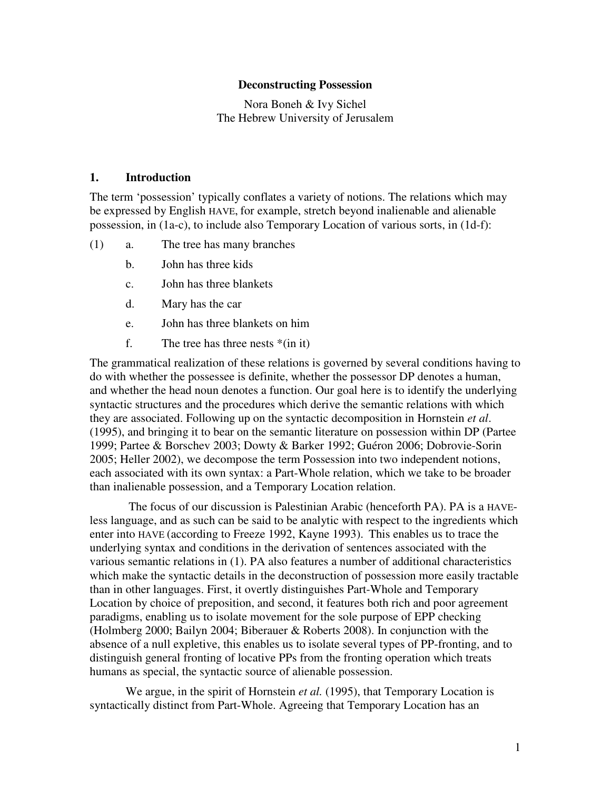#### **Deconstructing Possession**

Nora Boneh & Ivy Sichel The Hebrew University of Jerusalem

### **1. Introduction**

The term 'possession' typically conflates a variety of notions. The relations which may be expressed by English HAVE, for example, stretch beyond inalienable and alienable possession, in (1a-c), to include also Temporary Location of various sorts, in (1d-f):

- (1) a. The tree has many branches
	- b. John has three kids
	- c. John has three blankets
	- d. Mary has the car
	- e. John has three blankets on him
	- f. The tree has three nests  $*(\text{in it})$

The grammatical realization of these relations is governed by several conditions having to do with whether the possessee is definite, whether the possessor DP denotes a human, and whether the head noun denotes a function. Our goal here is to identify the underlying syntactic structures and the procedures which derive the semantic relations with which they are associated. Following up on the syntactic decomposition in Hornstein *et al*. (1995), and bringing it to bear on the semantic literature on possession within DP (Partee 1999; Partee & Borschev 2003; Dowty & Barker 1992; Guéron 2006; Dobrovie-Sorin 2005; Heller 2002), we decompose the term Possession into two independent notions, each associated with its own syntax: a Part-Whole relation, which we take to be broader than inalienable possession, and a Temporary Location relation.

 The focus of our discussion is Palestinian Arabic (henceforth PA). PA is a HAVEless language, and as such can be said to be analytic with respect to the ingredients which enter into HAVE (according to Freeze 1992, Kayne 1993). This enables us to trace the underlying syntax and conditions in the derivation of sentences associated with the various semantic relations in (1). PA also features a number of additional characteristics which make the syntactic details in the deconstruction of possession more easily tractable than in other languages. First, it overtly distinguishes Part-Whole and Temporary Location by choice of preposition, and second, it features both rich and poor agreement paradigms, enabling us to isolate movement for the sole purpose of EPP checking (Holmberg 2000; Bailyn 2004; Biberauer & Roberts 2008). In conjunction with the absence of a null expletive, this enables us to isolate several types of PP-fronting, and to distinguish general fronting of locative PPs from the fronting operation which treats humans as special, the syntactic source of alienable possession.

We argue, in the spirit of Hornstein *et al.* (1995), that Temporary Location is syntactically distinct from Part-Whole. Agreeing that Temporary Location has an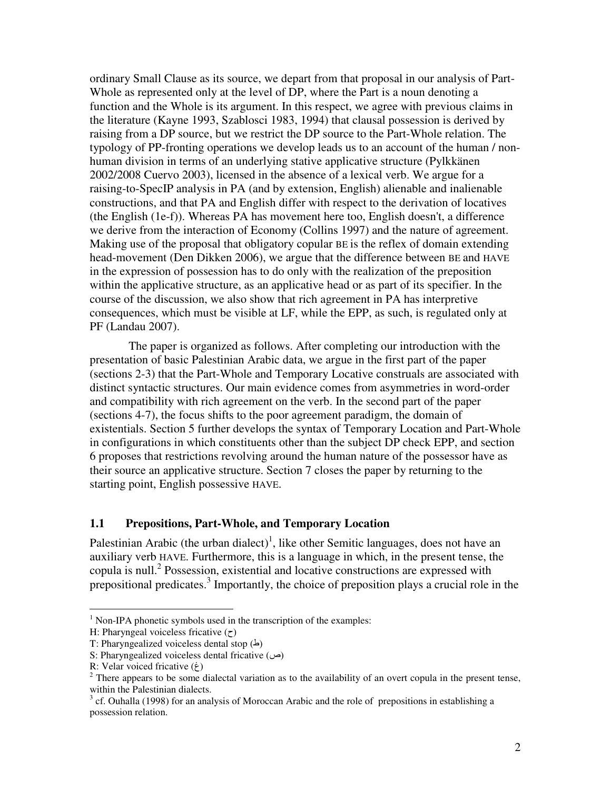ordinary Small Clause as its source, we depart from that proposal in our analysis of Part-Whole as represented only at the level of DP, where the Part is a noun denoting a function and the Whole is its argument. In this respect, we agree with previous claims in the literature (Kayne 1993, Szablosci 1983, 1994) that clausal possession is derived by raising from a DP source, but we restrict the DP source to the Part-Whole relation. The typology of PP-fronting operations we develop leads us to an account of the human / nonhuman division in terms of an underlying stative applicative structure (Pylkkänen 2002/2008 Cuervo 2003), licensed in the absence of a lexical verb. We argue for a raising-to-SpecIP analysis in PA (and by extension, English) alienable and inalienable constructions, and that PA and English differ with respect to the derivation of locatives (the English (1e-f)). Whereas PA has movement here too, English doesn't, a difference we derive from the interaction of Economy (Collins 1997) and the nature of agreement. Making use of the proposal that obligatory copular BE is the reflex of domain extending head-movement (Den Dikken 2006), we argue that the difference between BE and HAVE in the expression of possession has to do only with the realization of the preposition within the applicative structure, as an applicative head or as part of its specifier. In the course of the discussion, we also show that rich agreement in PA has interpretive consequences, which must be visible at LF, while the EPP, as such, is regulated only at PF (Landau 2007).

 The paper is organized as follows. After completing our introduction with the presentation of basic Palestinian Arabic data, we argue in the first part of the paper (sections 2-3) that the Part-Whole and Temporary Locative construals are associated with distinct syntactic structures. Our main evidence comes from asymmetries in word-order and compatibility with rich agreement on the verb. In the second part of the paper (sections 4-7), the focus shifts to the poor agreement paradigm, the domain of existentials. Section 5 further develops the syntax of Temporary Location and Part-Whole in configurations in which constituents other than the subject DP check EPP, and section 6 proposes that restrictions revolving around the human nature of the possessor have as their source an applicative structure. Section 7 closes the paper by returning to the starting point, English possessive HAVE.

#### **1.1 Prepositions, Part-Whole, and Temporary Location**

Palestinian Arabic (the urban dialect)<sup>1</sup>, like other Semitic languages, does not have an auxiliary verb HAVE. Furthermore, this is a language in which, in the present tense, the copula is null.<sup>2</sup> Possession, existential and locative constructions are expressed with prepositional predicates.<sup>3</sup> Importantly, the choice of preposition plays a crucial role in the

 $\overline{a}$ 

<sup>&</sup>lt;sup>1</sup> Non-IPA phonetic symbols used in the transcription of the examples:

H: Pharyngeal voiceless fricative  $(7)$ 

T: Pharyngealized voiceless dental stop  $(\triangle)$ 

S: Pharyngealized voiceless dental fricative  $(\infty)$ 

R: Velar voiced fricative  $(\dot{\epsilon})$ 

 $2$  There appears to be some dialectal variation as to the availability of an overt copula in the present tense, within the Palestinian dialects.

 $3$  cf. Ouhalla (1998) for an analysis of Moroccan Arabic and the role of prepositions in establishing a possession relation.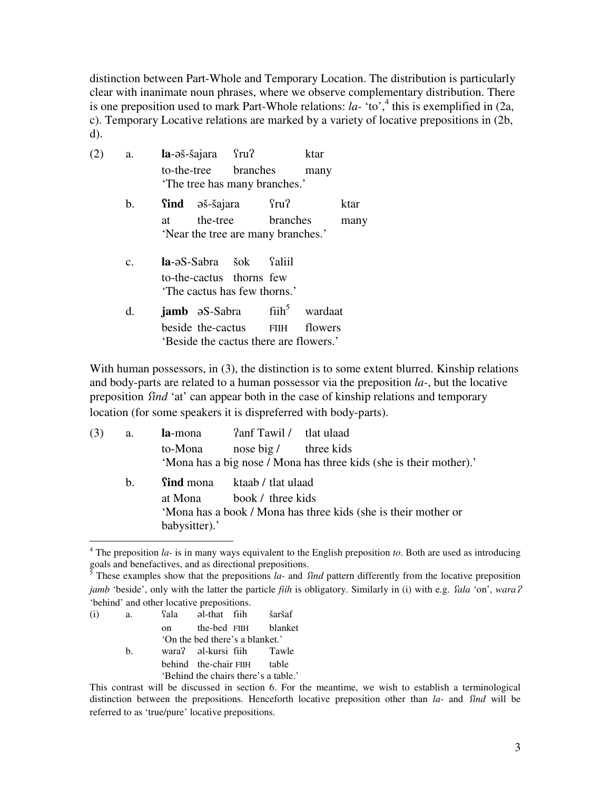distinction between Part-Whole and Temporary Location. The distribution is particularly clear with inanimate noun phrases, where we observe complementary distribution. There is one preposition used to mark Part-Whole relations:  $la$ - 'to',<sup>4</sup> this is exemplified in (2a, c). Temporary Locative relations are marked by a variety of locative prepositions in (2b, d).

| (2) | a.             |    | $la$ - $\sigma$ š-šajara $\Omega$                                                                                  |                   | ktar    |      |
|-----|----------------|----|--------------------------------------------------------------------------------------------------------------------|-------------------|---------|------|
|     |                |    | to-the-tree branches<br>'The tree has many branches.'                                                              |                   | many    |      |
|     | b.             |    | <b>find</b> əš-šajara                                                                                              | fru?              |         | ktar |
|     |                | at | 'Near the tree are many branches.'                                                                                 | the-tree branches |         | many |
|     | $\mathbf{c}$ . |    | <b>la</b> -əS-Sabra šok faliil<br>to-the-cactus thorns few<br>The cactus has few thorns.'                          |                   |         |      |
|     | d.             |    | <b>jamb</b> əS-Sabra fiih <sup>5</sup> wardaat<br>beside the-cactus FIIH<br>'Beside the cactus there are flowers.' |                   | flowers |      |

With human possessors, in (3), the distinction is to some extent blurred. Kinship relations and body-parts are related to a human possessor via the preposition *la-*, but the locative preposition *find* 'at' can appear both in the case of kinship relations and temporary location (for some speakers it is dispreferred with body-parts).

| (3) | a.             |               | <b>la-mona</b> <i>lanf Tawil / tlat ulaad</i> |                                                                    |
|-----|----------------|---------------|-----------------------------------------------|--------------------------------------------------------------------|
|     |                | to-Mona       | nose big / three kids                         |                                                                    |
|     |                |               |                                               | 'Mona has a big nose / Mona has three kids (she is their mother).' |
|     | $\mathbf{b}$ . |               | <b>Sind</b> mona ktaab / tlat ulaad           |                                                                    |
|     |                | at Mona       | book / three kids                             |                                                                    |
|     |                |               |                                               | 'Mona has a book / Mona has three kids (she is their mother or     |
|     |                | babysitter).' |                                               |                                                                    |

 4 The preposition *la-* is in many ways equivalent to the English preposition *to*. Both are used as introducing goals and benefactives, and as directional prepositions.<br><sup>5</sup> These examples show that the prepositions *la*- and *find* pattern differently from the locative preposition

(i) a. Sala əl-that fiih šaršaf on the-bed FIIH blanket 'On the bed there's a blanket.' b. wara? al-kursi fiih Tawle behind the-chair FIIH table 'Behind the chairs there's a table.'

*jamb* 'beside', only with the latter the particle *fiih* is obligatory. Similarly in (i) with e.g. *fala* 'on', *wara*? 'behind' and other locative prepositions.

This contrast will be discussed in section 6. For the meantime, we wish to establish a terminological distinction between the prepositions. Henceforth locative preposition other than *la-* and *find* will be referred to as 'true/pure' locative prepositions.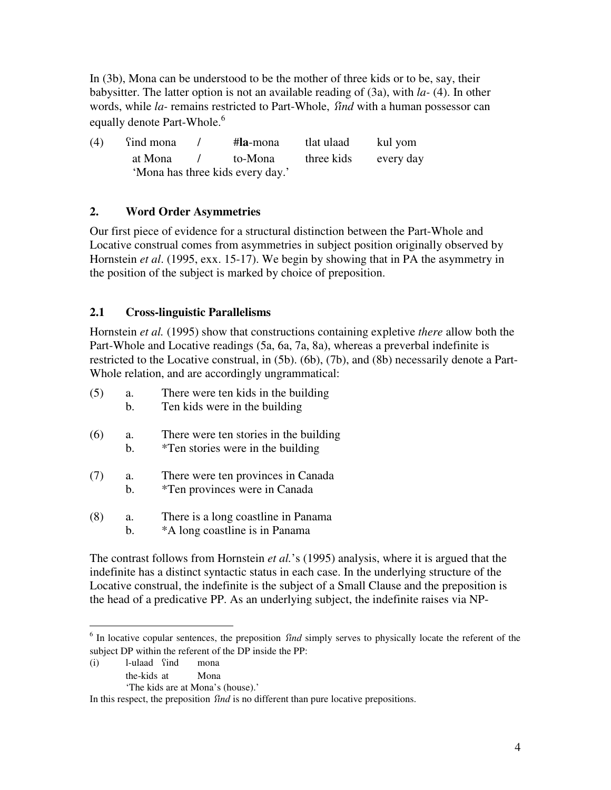In (3b), Mona can be understood to be the mother of three kids or to be, say, their babysitter. The latter option is not an available reading of (3a), with *la-* (4). In other words, while *la*-remains restricted to Part-Whole, *find* with a human possessor can equally denote Part-Whole.<sup>6</sup>

| (4) | find mona                        |  | #la-mona | tlat ulaad | kul yom   |
|-----|----------------------------------|--|----------|------------|-----------|
|     | at Mona                          |  | to-Mona  | three kids | every day |
|     | 'Mona has three kids every day.' |  |          |            |           |

# **2. Word Order Asymmetries**

Our first piece of evidence for a structural distinction between the Part-Whole and Locative construal comes from asymmetries in subject position originally observed by Hornstein *et al*. (1995, exx. 15-17). We begin by showing that in PA the asymmetry in the position of the subject is marked by choice of preposition.

# **2.1 Cross-linguistic Parallelisms**

Hornstein *et al.* (1995) show that constructions containing expletive *there* allow both the Part-Whole and Locative readings (5a, 6a, 7a, 8a), whereas a preverbal indefinite is restricted to the Locative construal, in (5b). (6b), (7b), and (8b) necessarily denote a Part-Whole relation, and are accordingly ungrammatical:

| (5) | a.<br>b.             | There were ten kids in the building<br>Ten kids were in the building                |
|-----|----------------------|-------------------------------------------------------------------------------------|
| (6) | a.<br>$\mathbf{b}$ . | There were ten stories in the building<br><i>*</i> Ten stories were in the building |
| (7) | a.<br>b.             | There were ten provinces in Canada<br><i>*Ten provinces were in Canada</i>          |
| (8) | a.<br>h.             | There is a long coastline in Panama<br>*A long coastline is in Panama               |

The contrast follows from Hornstein *et al.*'s (1995) analysis, where it is argued that the indefinite has a distinct syntactic status in each case. In the underlying structure of the Locative construal, the indefinite is the subject of a Small Clause and the preposition is the head of a predicative PP. As an underlying subject, the indefinite raises via NP-

(i) l-ulaad ÷ind mona

 $\overline{a}$ 

the-kids at Mona

In this respect, the preposition *find* is no different than pure locative prepositions.

 $<sup>6</sup>$  In locative copular sentences, the preposition *find* simply serves to physically locate the referent of the</sup> subject DP within the referent of the DP inside the PP:

 <sup>&#</sup>x27;The kids are at Mona's (house).'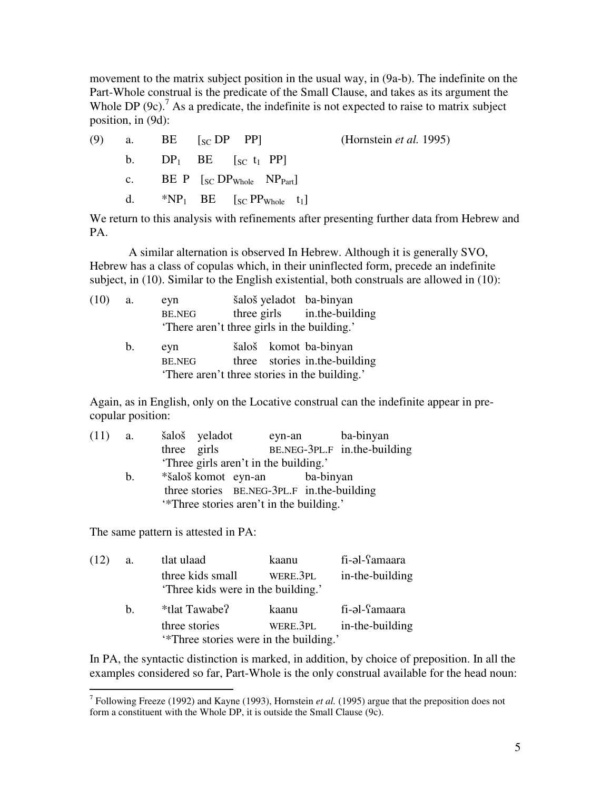movement to the matrix subject position in the usual way, in (9a-b). The indefinite on the Part-Whole construal is the predicate of the Small Clause, and takes as its argument the Whole DP  $(9c)$ .<sup>7</sup> As a predicate, the indefinite is not expected to raise to matrix subject position, in (9d):

| (9) |  | a. BE $[s_C \text{DP} \text{PP}]$                                                                    | (Hornstein <i>et al.</i> 1995) |
|-----|--|------------------------------------------------------------------------------------------------------|--------------------------------|
|     |  | b. $DP_1$ BE $[sC_1$ PP                                                                              |                                |
|     |  | c. BE P $\lceil_{SC}DP_{Whole} \rceil$ NP <sub>Part</sub>                                            |                                |
|     |  | d. *NP <sub>1</sub> BE $\left[\begin{array}{cc}S\ C\ \end{array}$ PP <sub>Whole</sub> t <sub>1</sub> |                                |

We return to this analysis with refinements after presenting further data from Hebrew and PA.

 A similar alternation is observed In Hebrew. Although it is generally SVO, Hebrew has a class of copulas which, in their uninflected form, precede an indefinite subject, in (10). Similar to the English existential, both construals are allowed in (10):

| (10) | a.             | eyn                  | šaloš yeladot ba-binyan                                                |                               |  |  |
|------|----------------|----------------------|------------------------------------------------------------------------|-------------------------------|--|--|
|      |                | <b>BE.NEG</b>        |                                                                        | three girls in the-building   |  |  |
|      |                |                      | 'There aren't three girls in the building.'                            |                               |  |  |
|      | $\mathbf{b}$ . | eyn<br><b>BE.NEG</b> | šaloš komot ba-binyan<br>'There aren't three stories in the building.' | three stories in the-building |  |  |
|      |                |                      |                                                                        |                               |  |  |

Again, as in English, only on the Locative construal can the indefinite appear in precopular position:

| (11) | а.             | šaloš yeladot |                                         | eyn-an | ba-binyan                                  |
|------|----------------|---------------|-----------------------------------------|--------|--------------------------------------------|
|      |                | three girls   |                                         |        | BE.NEG-3PL.F in.the-building               |
|      |                |               | 'Three girls aren't in the building.'   |        |                                            |
|      | $\mathbf{b}$ . |               | *šaloš komot eyn-an ba-binyan           |        |                                            |
|      |                |               |                                         |        | three stories BE.NEG-3PL.F in.the-building |
|      |                |               | "Three stories aren't in the building." |        |                                            |

The same pattern is attested in PA:

| (12) | a.      | tlat ulaad                                             | kaanu    | fi-əl-Samaara   |  |  |  |
|------|---------|--------------------------------------------------------|----------|-----------------|--|--|--|
|      |         | three kids small<br>'Three kids were in the building.' | WERE.3PL | in-the-building |  |  |  |
|      | $h_{-}$ | *tlat Tawabe?                                          | kaanu    | fi-əl-famaara   |  |  |  |
|      |         | three stories                                          | were.3pl | in-the-building |  |  |  |
|      |         | "Three stories were in the building."                  |          |                 |  |  |  |

In PA, the syntactic distinction is marked, in addition, by choice of preposition. In all the examples considered so far, Part-Whole is the only construal available for the head noun:

 7 Following Freeze (1992) and Kayne (1993), Hornstein *et al.* (1995) argue that the preposition does not form a constituent with the Whole DP, it is outside the Small Clause (9c).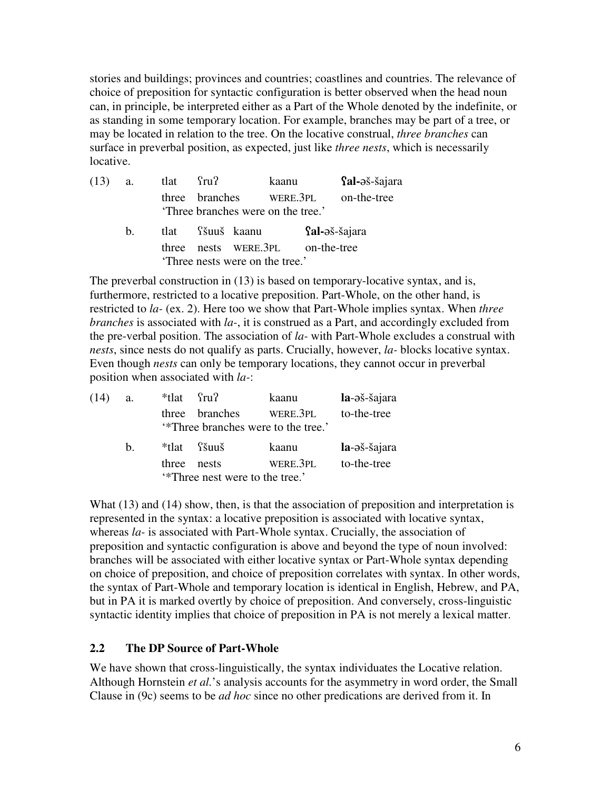stories and buildings; provinces and countries; coastlines and countries. The relevance of choice of preposition for syntactic configuration is better observed when the head noun can, in principle, be interpreted either as a Part of the Whole denoted by the indefinite, or as standing in some temporary location. For example, branches may be part of a tree, or may be located in relation to the tree. On the locative construal, *three branches* can surface in preverbal position, as expected, just like *three nests*, which is necessarily locative.

| $(13)$ a.                      |    | tlat fru? |  |                                                               | kaanu |                                | <b>fal-</b> əš-šajara |
|--------------------------------|----|-----------|--|---------------------------------------------------------------|-------|--------------------------------|-----------------------|
|                                |    |           |  | three branches WERE.3PL<br>'Three branches were on the tree.' |       |                                | on-the-tree           |
|                                | b. |           |  | tlat Sšuuš kaanu                                              |       | $\Omega$ - $\partial$ š-šajara |                       |
|                                |    |           |  | three nests WERE.3PL on-the-tree                              |       |                                |                       |
| Three nests were on the tree.' |    |           |  |                                                               |       |                                |                       |

The preverbal construction in (13) is based on temporary-locative syntax, and is, furthermore, restricted to a locative preposition. Part-Whole, on the other hand, is restricted to *la-* (ex. 2). Here too we show that Part-Whole implies syntax. When *three branches* is associated with *la-*, it is construed as a Part, and accordingly excluded from the pre-verbal position. The association of *la-* with Part-Whole excludes a construal with *nests*, since nests do not qualify as parts. Crucially, however, *la-* blocks locative syntax. Even though *nests* can only be temporary locations, they cannot occur in preverbal position when associated with *la-*:

| (14) | a.          | *tlat fru? |                                                      | kaanu    | la-əš-šajara |
|------|-------------|------------|------------------------------------------------------|----------|--------------|
|      |             |            | three branches<br>"Three branches were to the tree." | WERE 3PL | to-the-tree  |
|      |             |            |                                                      |          |              |
|      | $h_{\cdot}$ |            | *tlat Sšuuš                                          | kaanu    | la-əš-šajara |
|      |             | three      | nests<br><i>'*</i> Three nest were to the tree.'     | WERE.3PL | to-the-tree  |

What (13) and (14) show, then, is that the association of preposition and interpretation is represented in the syntax: a locative preposition is associated with locative syntax, whereas *la-* is associated with Part-Whole syntax. Crucially, the association of preposition and syntactic configuration is above and beyond the type of noun involved: branches will be associated with either locative syntax or Part-Whole syntax depending on choice of preposition, and choice of preposition correlates with syntax. In other words, the syntax of Part-Whole and temporary location is identical in English, Hebrew, and PA, but in PA it is marked overtly by choice of preposition. And conversely, cross-linguistic syntactic identity implies that choice of preposition in PA is not merely a lexical matter.

## **2.2 The DP Source of Part-Whole**

We have shown that cross-linguistically, the syntax individuates the Locative relation. Although Hornstein *et al.*'s analysis accounts for the asymmetry in word order, the Small Clause in (9c) seems to be *ad hoc* since no other predications are derived from it. In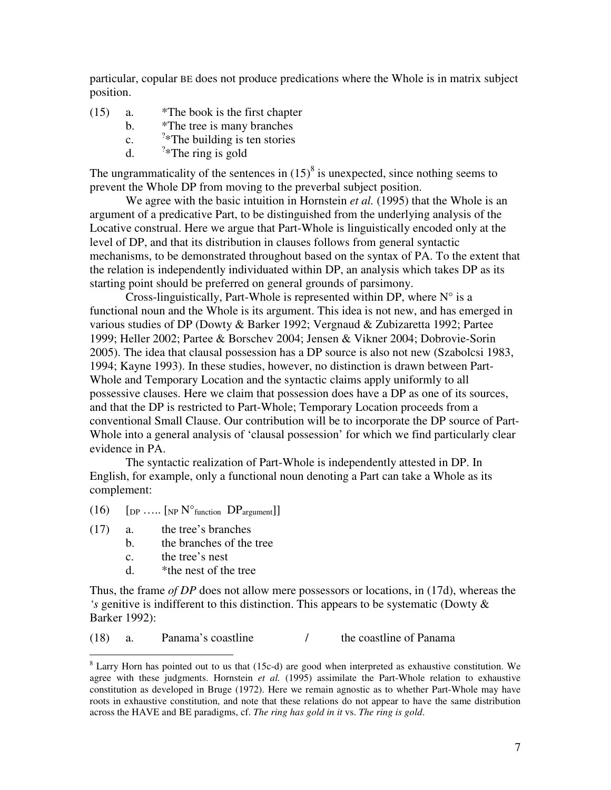particular, copular BE does not produce predications where the Whole is in matrix subject position.

- (15) a. \*The book is the first chapter
	- b. \*The tree is many branches
	- $c_{\cdot}$  $\lambda$ <sup>2\*</sup>The building is ten stories
	- $d_{\perp}$  $2*$ The ring is gold

The ungrammaticality of the sentences in  $(15)^8$  is unexpected, since nothing seems to prevent the Whole DP from moving to the preverbal subject position.

We agree with the basic intuition in Hornstein *et al.* (1995) that the Whole is an argument of a predicative Part, to be distinguished from the underlying analysis of the Locative construal. Here we argue that Part-Whole is linguistically encoded only at the level of DP, and that its distribution in clauses follows from general syntactic mechanisms, to be demonstrated throughout based on the syntax of PA. To the extent that the relation is independently individuated within DP, an analysis which takes DP as its starting point should be preferred on general grounds of parsimony.

Cross-linguistically, Part-Whole is represented within DP, where  $N^{\circ}$  is a functional noun and the Whole is its argument. This idea is not new, and has emerged in various studies of DP (Dowty & Barker 1992; Vergnaud & Zubizaretta 1992; Partee 1999; Heller 2002; Partee & Borschev 2004; Jensen & Vikner 2004; Dobrovie-Sorin 2005). The idea that clausal possession has a DP source is also not new (Szabolcsi 1983, 1994; Kayne 1993). In these studies, however, no distinction is drawn between Part-Whole and Temporary Location and the syntactic claims apply uniformly to all possessive clauses. Here we claim that possession does have a DP as one of its sources, and that the DP is restricted to Part-Whole; Temporary Location proceeds from a conventional Small Clause. Our contribution will be to incorporate the DP source of Part-Whole into a general analysis of 'clausal possession' for which we find particularly clear evidence in PA.

The syntactic realization of Part-Whole is independently attested in DP. In English, for example, only a functional noun denoting a Part can take a Whole as its complement:

- (16)  $[p_P \dots [NP N^{\circ}_{function} DP_{argument}]]$
- (17) a. the tree's branches
	- b. the branches of the tree
	- c. the tree's nest

 $\overline{a}$ 

d. \*the nest of the tree

Thus, the frame *of DP* does not allow mere possessors or locations, in (17d), whereas the *'s* genitive is indifferent to this distinction. This appears to be systematic (Dowty & Barker 1992):

(18) a. Panama's coastline / the coastline of Panama

 $8$  Larry Horn has pointed out to us that (15c-d) are good when interpreted as exhaustive constitution. We agree with these judgments. Hornstein *et al.* (1995) assimilate the Part-Whole relation to exhaustive constitution as developed in Bruge (1972). Here we remain agnostic as to whether Part-Whole may have roots in exhaustive constitution, and note that these relations do not appear to have the same distribution across the HAVE and BE paradigms, cf. *The ring has gold in it* vs. *The ring is gold*.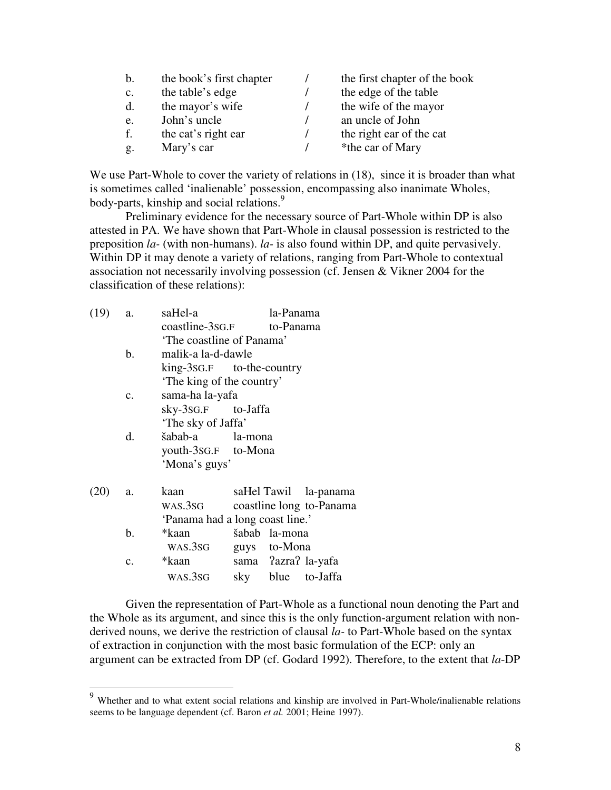| b.              | the book's first chapter | the first chapter of the book |
|-----------------|--------------------------|-------------------------------|
| $\mathcal{C}$ . | the table's edge         | the edge of the table         |
| d.              | the mayor's wife         | the wife of the mayor         |
| e.              | John's uncle             | an uncle of John              |
| f.              | the cat's right ear      | the right ear of the cat      |
| g.              | Mary's car               | *the car of Mary              |

We use Part-Whole to cover the variety of relations in  $(18)$ , since it is broader than what is sometimes called 'inalienable' possession, encompassing also inanimate Wholes, body-parts, kinship and social relations.<sup>9</sup>

 Preliminary evidence for the necessary source of Part-Whole within DP is also attested in PA. We have shown that Part-Whole in clausal possession is restricted to the preposition *la-* (with non-humans). *la-* is also found within DP, and quite pervasively. Within DP it may denote a variety of relations, ranging from Part-Whole to contextual association not necessarily involving possession (cf. Jensen & Vikner 2004 for the classification of these relations):

| (19) | a.             | saHel-a                         |                           | la-Panama     |                          |  |  |  |
|------|----------------|---------------------------------|---------------------------|---------------|--------------------------|--|--|--|
|      |                |                                 | coastline-3sG.F to-Panama |               |                          |  |  |  |
|      |                | 'The coastline of Panama'       |                           |               |                          |  |  |  |
|      | b.             | malik-a la-d-dawle              |                           |               |                          |  |  |  |
|      |                | king-3sg.F to-the-country       |                           |               |                          |  |  |  |
|      |                |                                 | 'The king of the country' |               |                          |  |  |  |
|      | $\mathbf{c}$ . | sama-ha la-yafa                 |                           |               |                          |  |  |  |
|      |                | sky-3sG.F to-Jaffa              |                           |               |                          |  |  |  |
|      |                | 'The sky of Jaffa'              |                           |               |                          |  |  |  |
|      | d.             | šabab-a la-mona                 |                           |               |                          |  |  |  |
|      |                | youth-3sG.F to-Mona             |                           |               |                          |  |  |  |
|      |                | 'Mona's guys'                   |                           |               |                          |  |  |  |
| (20) | a.             | kaan                            |                           |               | saHel Tawil la-panama    |  |  |  |
|      |                | WAS.3SG                         |                           |               | coastline long to-Panama |  |  |  |
|      |                | 'Panama had a long coast line.' |                           |               |                          |  |  |  |
|      | b.             | *kaan                           |                           | šabab la-mona |                          |  |  |  |
|      |                | WAS.3SG                         |                           | guys to-Mona  |                          |  |  |  |
|      | $\mathbf{c}$ . | *kaan                           |                           |               | sama ?azra? la-yafa      |  |  |  |
|      |                | WAS.3SG                         |                           |               | sky blue to-Jaffa        |  |  |  |
|      |                |                                 |                           |               |                          |  |  |  |

 $\overline{a}$ 

Given the representation of Part-Whole as a functional noun denoting the Part and the Whole as its argument, and since this is the only function-argument relation with nonderived nouns, we derive the restriction of clausal *la-* to Part-Whole based on the syntax of extraction in conjunction with the most basic formulation of the ECP: only an argument can be extracted from DP (cf. Godard 1992). Therefore, to the extent that *la*-DP

<sup>&</sup>lt;sup>9</sup> Whether and to what extent social relations and kinship are involved in Part-Whole/inalienable relations seems to be language dependent (cf. Baron *et al.* 2001; Heine 1997).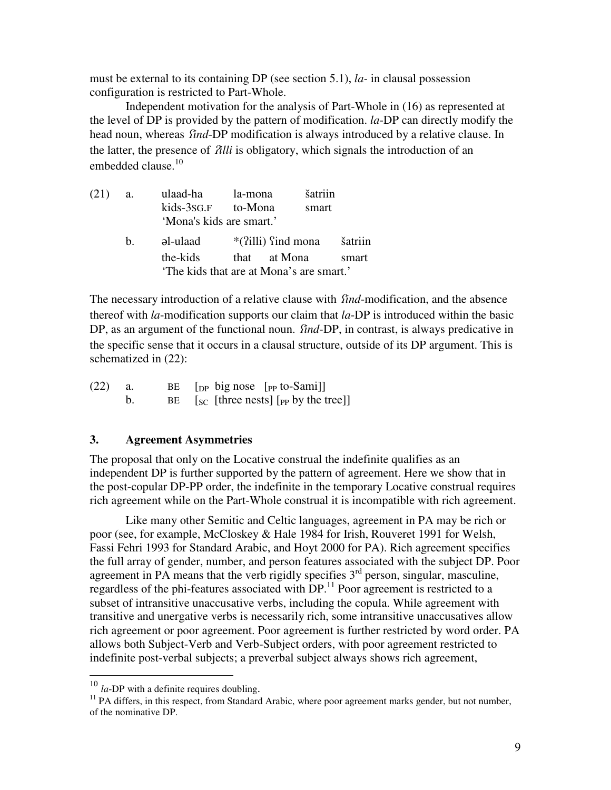must be external to its containing DP (see section 5.1), *la-* in clausal possession configuration is restricted to Part-Whole.

Independent motivation for the analysis of Part-Whole in (16) as represented at the level of DP is provided by the pattern of modification. *la*-DP can directly modify the head noun, whereas *find*-DP modification is always introduced by a relative clause. In the latter, the presence of /*illi* is obligatory, which signals the introduction of an embedded clause.<sup>10</sup>

| $(21)$ a. |         | ulaad-ha                                 | la-mona              | šatriin |         |
|-----------|---------|------------------------------------------|----------------------|---------|---------|
|           |         | kids-3sG.F to-Mona                       |                      | smart   |         |
|           |         | 'Mona's kids are smart.'                 |                      |         |         |
|           | $h_{-}$ | əl-ulaad                                 | $*(?i11i)$ find mona |         | šatriin |
|           |         | the-kids                                 | that at Mona         |         | smart   |
|           |         | 'The kids that are at Mona's are smart.' |                      |         |         |

The necessary introduction of a relative clause with *find*-modification, and the absence thereof with *la*-modification supports our claim that *la*-DP is introduced within the basic DP, as an argument of the functional noun. *find-DP*, in contrast, is always predicative in the specific sense that it occurs in a clausal structure, outside of its DP argument. This is schematized in (22):

| $(22)$ a. |  | BE $[p \text{ }$ big nose $[p \text{ }$ to-Sami]]                                                                                                                                                                                                                                            |
|-----------|--|----------------------------------------------------------------------------------------------------------------------------------------------------------------------------------------------------------------------------------------------------------------------------------------------|
|           |  | BE $\left[\begin{array}{cc} \n\end{array}\right]$ $\left[\begin{array}{cc} \n\end{array}\right]$ $\left[\begin{array}{cc} \n\end{array}\right]$ $\left[\begin{array}{cc} \n\end{array}\right]$ $\left[\begin{array}{cc} \n\end{array}\right]$ $\left[\begin{array}{cc} \n\end{array}\right]$ |

### **3. Agreement Asymmetries**

The proposal that only on the Locative construal the indefinite qualifies as an independent DP is further supported by the pattern of agreement. Here we show that in the post-copular DP-PP order, the indefinite in the temporary Locative construal requires rich agreement while on the Part-Whole construal it is incompatible with rich agreement.

 Like many other Semitic and Celtic languages, agreement in PA may be rich or poor (see, for example, McCloskey & Hale 1984 for Irish, Rouveret 1991 for Welsh, Fassi Fehri 1993 for Standard Arabic, and Hoyt 2000 for PA). Rich agreement specifies the full array of gender, number, and person features associated with the subject DP. Poor agreement in PA means that the verb rigidly specifies  $3<sup>rd</sup>$  person, singular, masculine, regardless of the phi-features associated with DP.<sup>11</sup> Poor agreement is restricted to a subset of intransitive unaccusative verbs, including the copula. While agreement with transitive and unergative verbs is necessarily rich, some intransitive unaccusatives allow rich agreement or poor agreement. Poor agreement is further restricted by word order. PA allows both Subject-Verb and Verb-Subject orders, with poor agreement restricted to indefinite post-verbal subjects; a preverbal subject always shows rich agreement,

 $\overline{a}$ 

<sup>10</sup> *la*-DP with a definite requires doubling.

<sup>&</sup>lt;sup>11</sup> PA differs, in this respect, from Standard Arabic, where poor agreement marks gender, but not number, of the nominative DP.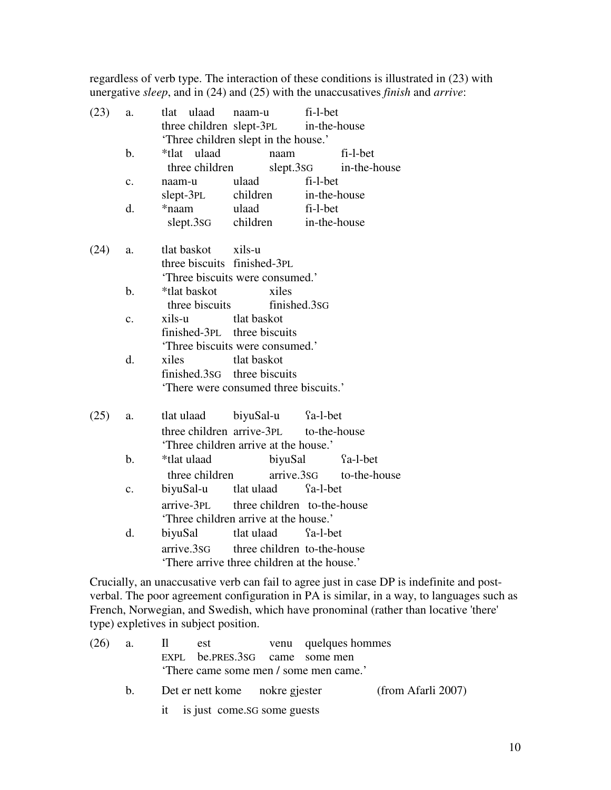regardless of verb type. The interaction of these conditions is illustrated in (23) with unergative *sleep*, and in (24) and (25) with the unaccusatives *finish* and *arrive*:

| (23) | a.             | ulaad<br>tlat                        | fi-l-bet<br>naam-u                        |              |                         |  |  |
|------|----------------|--------------------------------------|-------------------------------------------|--------------|-------------------------|--|--|
|      |                |                                      | three children slept-3PL<br>in-the-house  |              |                         |  |  |
|      |                | 'Three children slept in the house.' |                                           |              |                         |  |  |
|      | $\mathbf b$ .  | *tlat ulaad                          | naam                                      |              | fi-l-bet                |  |  |
|      |                | three children                       |                                           | slept.3sG    | in-the-house            |  |  |
|      | $\mathbf{c}$ . | naam-u                               | ulaad                                     | fi-l-bet     |                         |  |  |
|      |                | slept-3PL                            | children                                  | in-the-house |                         |  |  |
|      | d.             | *naam                                | ulaad                                     | fi-l-bet     |                         |  |  |
|      |                | slept.3sG                            | children                                  | in-the-house |                         |  |  |
| (24) | a.             | tlat baskot                          | xils-u                                    |              |                         |  |  |
|      |                | three biscuits finished-3PL          |                                           |              |                         |  |  |
|      |                |                                      | 'Three biscuits were consumed.'           |              |                         |  |  |
|      | $\mathbf{b}$ . | *tlat baskot                         | xiles                                     |              |                         |  |  |
|      |                | three biscuits                       | finished.3sG                              |              |                         |  |  |
|      | $\mathbf{c}$ . | xils-u                               | tlat baskot                               |              |                         |  |  |
|      |                |                                      | finished-3PL three biscuits               |              |                         |  |  |
|      |                |                                      | 'Three biscuits were consumed.'           |              |                         |  |  |
|      | d.             | xiles                                | tlat baskot                               |              |                         |  |  |
|      |                |                                      | finished.3sG three biscuits               |              |                         |  |  |
|      |                |                                      | 'There were consumed three biscuits.'     |              |                         |  |  |
| (25) | a.             | tlat ulaad                           | biyuSal-u                                 | fa-l-bet     |                         |  |  |
|      |                |                                      | three children arrive-3PL                 | to-the-house |                         |  |  |
|      |                |                                      | 'Three children arrive at the house.'     |              |                         |  |  |
|      | $\mathbf{b}$ . | *tlat ulaad                          | biyuSal                                   |              | fa-l-bet                |  |  |
|      |                | three children                       |                                           |              | arrive.3sG to-the-house |  |  |
|      | $\mathbf{c}$ . | biyuSal-u                            | tlat ulaad                                | fa-l-bet     |                         |  |  |
|      |                | arrive-3PL                           | three children to-the-house               |              |                         |  |  |
|      |                |                                      | 'Three children arrive at the house.'     |              |                         |  |  |
|      | d.             | biyuSal                              | tlat ulaad                                | fa-l-bet     |                         |  |  |
|      |                | arrive.3sG                           | three children to-the-house               |              |                         |  |  |
|      |                |                                      | There arrive three children at the house. |              |                         |  |  |

Crucially, an unaccusative verb can fail to agree just in case DP is indefinite and postverbal. The poor agreement configuration in PA is similar, in a way, to languages such as French, Norwegian, and Swedish, which have pronominal (rather than locative 'there' type) expletives in subject position.

| $(26)$ a.   |                                 | Il est venu quelques hommes            |                    |
|-------------|---------------------------------|----------------------------------------|--------------------|
|             | EXPL be.PRES.3SG came some men  |                                        |                    |
|             |                                 | 'There came some men / some men came.' |                    |
| $h_{\perp}$ | Det er nett kome nokre gjester  |                                        | (from Afarli 2007) |
|             | it is just come. SG some guests |                                        |                    |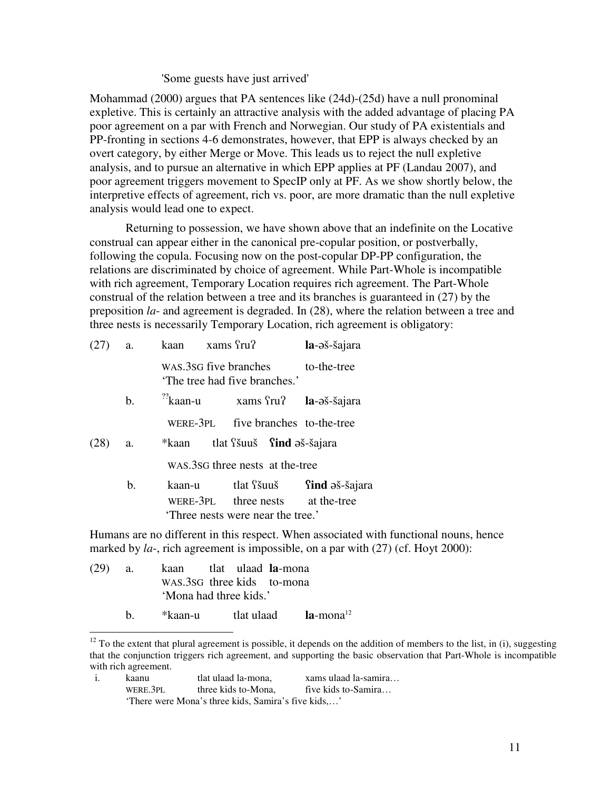#### 'Some guests have just arrived'

Mohammad (2000) argues that PA sentences like (24d)-(25d) have a null pronominal expletive. This is certainly an attractive analysis with the added advantage of placing PA poor agreement on a par with French and Norwegian. Our study of PA existentials and PP-fronting in sections 4-6 demonstrates, however, that EPP is always checked by an overt category, by either Merge or Move. This leads us to reject the null expletive analysis, and to pursue an alternative in which EPP applies at PF (Landau 2007), and poor agreement triggers movement to SpecIP only at PF. As we show shortly below, the interpretive effects of agreement, rich vs. poor, are more dramatic than the null expletive analysis would lead one to expect.

 Returning to possession, we have shown above that an indefinite on the Locative construal can appear either in the canonical pre-copular position, or postverbally, following the copula. Focusing now on the post-copular DP-PP configuration, the relations are discriminated by choice of agreement. While Part-Whole is incompatible with rich agreement, Temporary Location requires rich agreement. The Part-Whole construal of the relation between a tree and its branches is guaranteed in (27) by the preposition *la*- and agreement is degraded. In (28), where the relation between a tree and three nests is necessarily Temporary Location, rich agreement is obligatory:

|      | a.            | kaan xams fru?                                         |  |                                 | la-əš-šajara                                              |
|------|---------------|--------------------------------------------------------|--|---------------------------------|-----------------------------------------------------------|
|      |               | WAS.3SG five branches<br>'The tree had five branches.' |  |                                 | to-the-tree                                               |
|      | $\mathbf b$ . | $\frac{22}{3}$ kaan-u                                  |  |                                 | xams fru? la-əš-šajara                                    |
|      |               |                                                        |  |                                 | WERE-3PL five branches to-the-tree                        |
| (28) | a.            | *kaan tlat Sšuuš <b>Sind</b> aš-šajara                 |  |                                 |                                                           |
|      |               |                                                        |  | WAS.3SG three nests at the-tree |                                                           |
|      | b.            | kaan-u<br>Three nests were near the tree.              |  | tlat <sup>S</sup> šuuš          | <b>find</b> əš-šajara<br>WERE-3PL three nests at the-tree |

Humans are no different in this respect. When associated with functional nouns, hence marked by *la*-, rich agreement is impossible, on a par with (27) (cf. Hoyt 2000):

(29) a. kaan tlat ulaad **la**-mona WAS.3SG three kids to-mona 'Mona had three kids.'

 $\overline{a}$ 

b. \*kaan-u tlat ulaad **la**-mona<sup>12</sup>

i. kaanu tlat ulaad la-mona, xams ulaad la-samira… WERE.3PL three kids to-Mona, five kids to-Samira... 'There were Mona's three kids, Samira's five kids,…'

 $12$  To the extent that plural agreement is possible, it depends on the addition of members to the list, in (i), suggesting that the conjunction triggers rich agreement, and supporting the basic observation that Part-Whole is incompatible with rich agreement.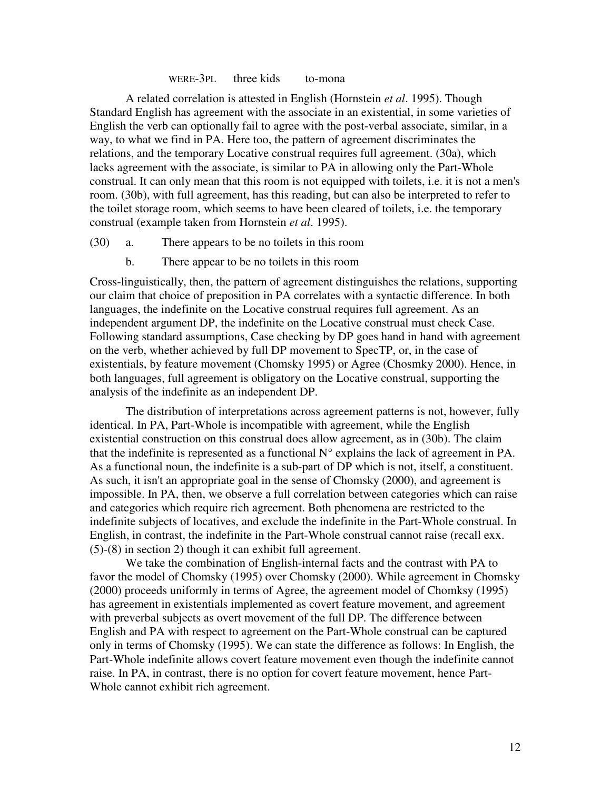#### WERE-3PL three kids to-mona

 A related correlation is attested in English (Hornstein *et al*. 1995). Though Standard English has agreement with the associate in an existential, in some varieties of English the verb can optionally fail to agree with the post-verbal associate, similar, in a way, to what we find in PA. Here too, the pattern of agreement discriminates the relations, and the temporary Locative construal requires full agreement. (30a), which lacks agreement with the associate, is similar to PA in allowing only the Part-Whole construal. It can only mean that this room is not equipped with toilets, i.e. it is not a men's room. (30b), with full agreement, has this reading, but can also be interpreted to refer to the toilet storage room, which seems to have been cleared of toilets, i.e. the temporary construal (example taken from Hornstein *et al*. 1995).

- (30) a. There appears to be no toilets in this room
	- b. There appear to be no toilets in this room

Cross-linguistically, then, the pattern of agreement distinguishes the relations, supporting our claim that choice of preposition in PA correlates with a syntactic difference. In both languages, the indefinite on the Locative construal requires full agreement. As an independent argument DP, the indefinite on the Locative construal must check Case. Following standard assumptions, Case checking by DP goes hand in hand with agreement on the verb, whether achieved by full DP movement to SpecTP, or, in the case of existentials, by feature movement (Chomsky 1995) or Agree (Chosmky 2000). Hence, in both languages, full agreement is obligatory on the Locative construal, supporting the analysis of the indefinite as an independent DP.

 The distribution of interpretations across agreement patterns is not, however, fully identical. In PA, Part-Whole is incompatible with agreement, while the English existential construction on this construal does allow agreement, as in (30b). The claim that the indefinite is represented as a functional  $N^{\circ}$  explains the lack of agreement in PA. As a functional noun, the indefinite is a sub-part of DP which is not, itself, a constituent. As such, it isn't an appropriate goal in the sense of Chomsky (2000), and agreement is impossible. In PA, then, we observe a full correlation between categories which can raise and categories which require rich agreement. Both phenomena are restricted to the indefinite subjects of locatives, and exclude the indefinite in the Part-Whole construal. In English, in contrast, the indefinite in the Part-Whole construal cannot raise (recall exx. (5)-(8) in section 2) though it can exhibit full agreement.

 We take the combination of English-internal facts and the contrast with PA to favor the model of Chomsky (1995) over Chomsky (2000). While agreement in Chomsky (2000) proceeds uniformly in terms of Agree, the agreement model of Chomksy (1995) has agreement in existentials implemented as covert feature movement, and agreement with preverbal subjects as overt movement of the full DP. The difference between English and PA with respect to agreement on the Part-Whole construal can be captured only in terms of Chomsky (1995). We can state the difference as follows: In English, the Part-Whole indefinite allows covert feature movement even though the indefinite cannot raise. In PA, in contrast, there is no option for covert feature movement, hence Part-Whole cannot exhibit rich agreement.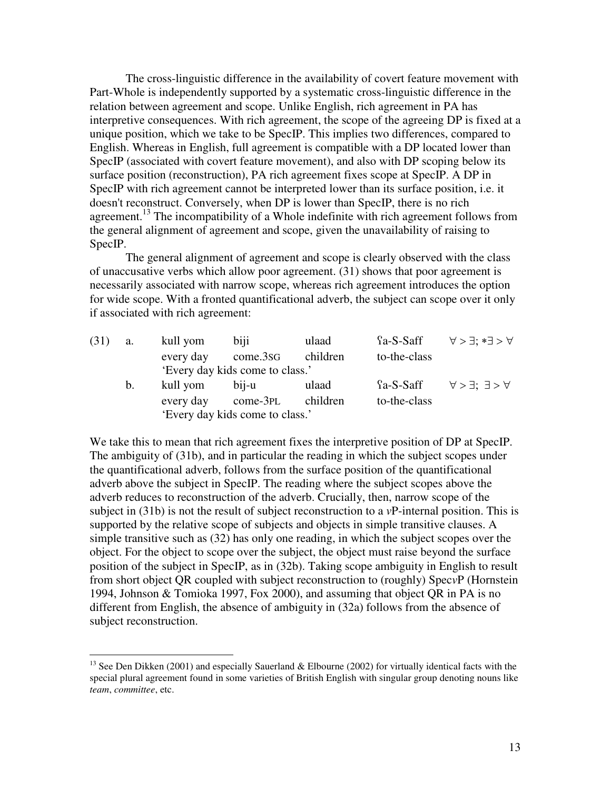The cross-linguistic difference in the availability of covert feature movement with Part-Whole is independently supported by a systematic cross-linguistic difference in the relation between agreement and scope. Unlike English, rich agreement in PA has interpretive consequences. With rich agreement, the scope of the agreeing DP is fixed at a unique position, which we take to be SpecIP. This implies two differences, compared to English. Whereas in English, full agreement is compatible with a DP located lower than SpecIP (associated with covert feature movement), and also with DP scoping below its surface position (reconstruction), PA rich agreement fixes scope at SpecIP. A DP in SpecIP with rich agreement cannot be interpreted lower than its surface position, i.e. it doesn't reconstruct. Conversely, when DP is lower than SpecIP, there is no rich agreement.<sup>13</sup> The incompatibility of a Whole indefinite with rich agreement follows from the general alignment of agreement and scope, given the unavailability of raising to SpecIP.

 The general alignment of agreement and scope is clearly observed with the class of unaccusative verbs which allow poor agreement. (31) shows that poor agreement is necessarily associated with narrow scope, whereas rich agreement introduces the option for wide scope. With a fronted quantificational adverb, the subject can scope over it only if associated with rich agreement:

| (31) | a.          | kull yom  | biji                            | ulaad    | $a-S-Saff$   | $\forall > \exists : * \exists > \forall$                |
|------|-------------|-----------|---------------------------------|----------|--------------|----------------------------------------------------------|
|      |             | every day | come.3sG                        | children | to-the-class |                                                          |
|      |             |           | 'Every day kids come to class.' |          |              |                                                          |
|      | $b_{\cdot}$ | kull yom  | bij-u                           | ulaad    |              | $\{a-S-Saff \quad \forall > \exists : \exists > \forall$ |
|      |             | every day | $come-3PL$                      | children | to-the-class |                                                          |
|      |             |           | 'Every day kids come to class.' |          |              |                                                          |

We take this to mean that rich agreement fixes the interpretive position of DP at SpecIP. The ambiguity of (31b), and in particular the reading in which the subject scopes under the quantificational adverb, follows from the surface position of the quantificational adverb above the subject in SpecIP. The reading where the subject scopes above the adverb reduces to reconstruction of the adverb. Crucially, then, narrow scope of the subject in (31b) is not the result of subject reconstruction to a *v*P-internal position. This is supported by the relative scope of subjects and objects in simple transitive clauses. A simple transitive such as (32) has only one reading, in which the subject scopes over the object. For the object to scope over the subject, the object must raise beyond the surface position of the subject in SpecIP, as in (32b). Taking scope ambiguity in English to result from short object QR coupled with subject reconstruction to (roughly) Spec*v*P (Hornstein 1994, Johnson & Tomioka 1997, Fox 2000), and assuming that object QR in PA is no different from English, the absence of ambiguity in (32a) follows from the absence of subject reconstruction.

 $\overline{a}$ 

<sup>&</sup>lt;sup>13</sup> See Den Dikken (2001) and especially Sauerland & Elbourne (2002) for virtually identical facts with the special plural agreement found in some varieties of British English with singular group denoting nouns like *team*, *committee*, etc.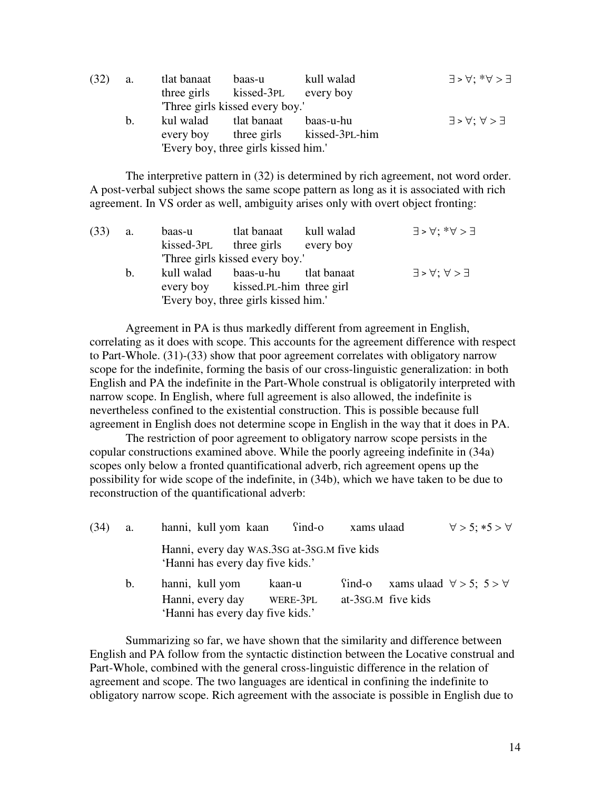| (32) | a.          | tlat banaat | baas-u                               | kull walad                 | $E < \forall : *, \forall > E$                |
|------|-------------|-------------|--------------------------------------|----------------------------|-----------------------------------------------|
|      |             |             | three girls kissed-3PL every boy     |                            |                                               |
|      |             |             | Three girls kissed every boy.'       |                            |                                               |
|      | $b_{\cdot}$ | kul walad   | tlat banaat                          | baas-u-hu                  | $\exists$ > $\forall$ ; $\forall$ > $\exists$ |
|      |             | every boy   |                                      | three girls kissed-3PL-him |                                               |
|      |             |             | 'Every boy, three girls kissed him.' |                            |                                               |

 The interpretive pattern in (32) is determined by rich agreement, not word order. A post-verbal subject shows the same scope pattern as long as it is associated with rich agreement. In VS order as well, ambiguity arises only with overt object fronting:

| (33) | <b>a.</b> | baas-u     | tlat banaat                          | kull walad | $E < \forall : *, \forall > E$                |
|------|-----------|------------|--------------------------------------|------------|-----------------------------------------------|
|      |           | kissed-3pl | three girls every boy                |            |                                               |
|      |           |            | Three girls kissed every boy.'       |            |                                               |
|      | $b_{1}$   |            | kull walad baas-u-hu tlat banaat     |            | $\exists$ > $\forall$ ; $\forall$ > $\exists$ |
|      |           |            | every boy kissed. PL-him three girl  |            |                                               |
|      |           |            | 'Every boy, three girls kissed him.' |            |                                               |

 Agreement in PA is thus markedly different from agreement in English, correlating as it does with scope. This accounts for the agreement difference with respect to Part-Whole. (31)-(33) show that poor agreement correlates with obligatory narrow scope for the indefinite, forming the basis of our cross-linguistic generalization: in both English and PA the indefinite in the Part-Whole construal is obligatorily interpreted with narrow scope. In English, where full agreement is also allowed, the indefinite is nevertheless confined to the existential construction. This is possible because full agreement in English does not determine scope in English in the way that it does in PA.

 The restriction of poor agreement to obligatory narrow scope persists in the copular constructions examined above. While the poorly agreeing indefinite in (34a) scopes only below a fronted quantificational adverb, rich agreement opens up the possibility for wide scope of the indefinite, in (34b), which we have taken to be due to reconstruction of the quantificational adverb:

| (34) | a. | hanni, kull yom kaan                                                            | $\text{find-o}$    | xams ulaad                   |                                         | $\forall$ > 5; *5 > $\forall$ |  |
|------|----|---------------------------------------------------------------------------------|--------------------|------------------------------|-----------------------------------------|-------------------------------|--|
|      |    | Hanni, every day WAS.3sG at-3sG.M five kids<br>'Hanni has every day five kids.' |                    |                              |                                         |                               |  |
|      | b. | hanni, kull yom<br>Hanni, every day<br>'Hanni has every day five kids.'         | kaan-u<br>WERE-3PL | find-o<br>at-3sG.M five kids | xams ulaad $\forall$ > 5; 5 > $\forall$ |                               |  |

 Summarizing so far, we have shown that the similarity and difference between English and PA follow from the syntactic distinction between the Locative construal and Part-Whole, combined with the general cross-linguistic difference in the relation of agreement and scope. The two languages are identical in confining the indefinite to obligatory narrow scope. Rich agreement with the associate is possible in English due to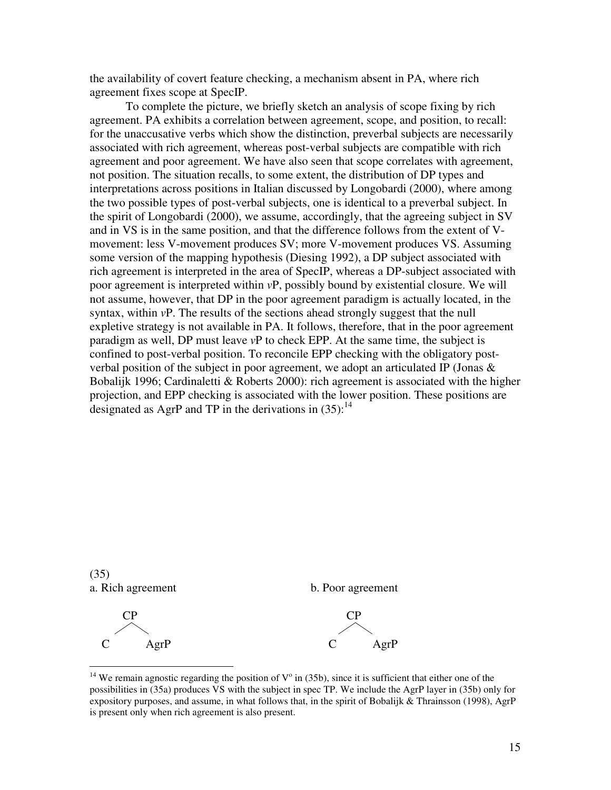the availability of covert feature checking, a mechanism absent in PA, where rich agreement fixes scope at SpecIP.

 To complete the picture, we briefly sketch an analysis of scope fixing by rich agreement. PA exhibits a correlation between agreement, scope, and position, to recall: for the unaccusative verbs which show the distinction, preverbal subjects are necessarily associated with rich agreement, whereas post-verbal subjects are compatible with rich agreement and poor agreement. We have also seen that scope correlates with agreement, not position. The situation recalls, to some extent, the distribution of DP types and interpretations across positions in Italian discussed by Longobardi (2000), where among the two possible types of post-verbal subjects, one is identical to a preverbal subject. In the spirit of Longobardi (2000), we assume, accordingly, that the agreeing subject in SV and in VS is in the same position, and that the difference follows from the extent of Vmovement: less V-movement produces SV; more V-movement produces VS. Assuming some version of the mapping hypothesis (Diesing 1992), a DP subject associated with rich agreement is interpreted in the area of SpecIP, whereas a DP-subject associated with poor agreement is interpreted within *v*P, possibly bound by existential closure. We will not assume, however, that DP in the poor agreement paradigm is actually located, in the syntax, within *v*P. The results of the sections ahead strongly suggest that the null expletive strategy is not available in PA. It follows, therefore, that in the poor agreement paradigm as well, DP must leave *v*P to check EPP. At the same time, the subject is confined to post-verbal position. To reconcile EPP checking with the obligatory postverbal position of the subject in poor agreement, we adopt an articulated IP (Jonas & Bobalijk 1996; Cardinaletti & Roberts 2000): rich agreement is associated with the higher projection, and EPP checking is associated with the lower position. These positions are designated as AgrP and TP in the derivations in  $(35)$ :<sup>14</sup>



 $\overline{a}$ 

<sup>&</sup>lt;sup>14</sup> We remain agnostic regarding the position of  $V^{\circ}$  in (35b), since it is sufficient that either one of the possibilities in (35a) produces VS with the subject in spec TP. We include the AgrP layer in (35b) only for expository purposes, and assume, in what follows that, in the spirit of Bobalijk  $&$  Thrainsson (1998), AgrP is present only when rich agreement is also present.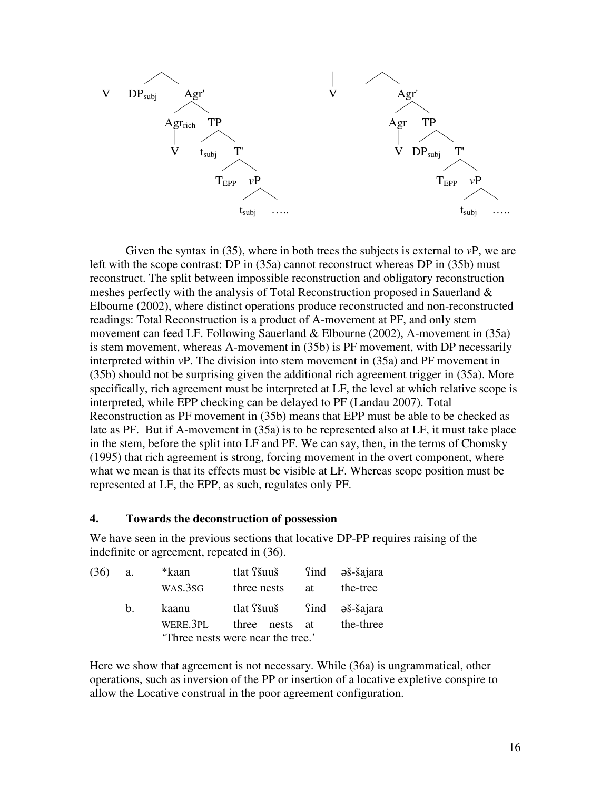

 Given the syntax in (35), where in both trees the subjects is external to *v*P, we are left with the scope contrast: DP in (35a) cannot reconstruct whereas DP in (35b) must reconstruct. The split between impossible reconstruction and obligatory reconstruction meshes perfectly with the analysis of Total Reconstruction proposed in Sauerland  $\&$ Elbourne (2002), where distinct operations produce reconstructed and non-reconstructed readings: Total Reconstruction is a product of A-movement at PF, and only stem movement can feed LF. Following Sauerland & Elbourne (2002), A-movement in (35a) is stem movement, whereas A-movement in (35b) is PF movement, with DP necessarily interpreted within *v*P. The division into stem movement in (35a) and PF movement in (35b) should not be surprising given the additional rich agreement trigger in (35a). More specifically, rich agreement must be interpreted at LF, the level at which relative scope is interpreted, while EPP checking can be delayed to PF (Landau 2007). Total Reconstruction as PF movement in (35b) means that EPP must be able to be checked as late as PF. But if A-movement in (35a) is to be represented also at LF, it must take place in the stem, before the split into LF and PF. We can say, then, in the terms of Chomsky (1995) that rich agreement is strong, forcing movement in the overt component, where what we mean is that its effects must be visible at LF. Whereas scope position must be represented at LF, the EPP, as such, regulates only PF.

### **4. Towards the deconstruction of possession**

We have seen in the previous sections that locative DP-PP requires raising of the indefinite or agreement, repeated in (36).

| (36) | a.          | *kaan    | tlat <i>f</i> šuuš               |    | find əš-šajara |
|------|-------------|----------|----------------------------------|----|----------------|
|      |             | WAS.3SG  | three nests                      | at | the-tree       |
|      | $h_{\cdot}$ | kaanu    | tlat s ind əš-šajara             |    |                |
|      |             | WERE.3PL | three nests at                   |    | the-three      |
|      |             |          | Three nests were near the tree.' |    |                |

Here we show that agreement is not necessary. While (36a) is ungrammatical, other operations, such as inversion of the PP or insertion of a locative expletive conspire to allow the Locative construal in the poor agreement configuration.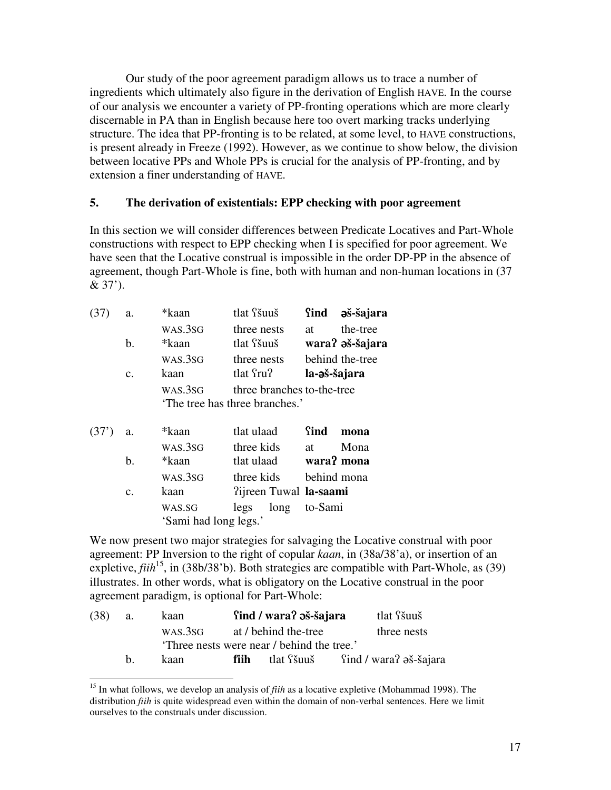Our study of the poor agreement paradigm allows us to trace a number of ingredients which ultimately also figure in the derivation of English HAVE. In the course of our analysis we encounter a variety of PP-fronting operations which are more clearly discernable in PA than in English because here too overt marking tracks underlying structure. The idea that PP-fronting is to be related, at some level, to HAVE constructions, is present already in Freeze (1992). However, as we continue to show below, the division between locative PPs and Whole PPs is crucial for the analysis of PP-fronting, and by extension a finer understanding of HAVE.

## **5. The derivation of existentials: EPP checking with poor agreement**

In this section we will consider differences between Predicate Locatives and Part-Whole constructions with respect to EPP checking when I is specified for poor agreement. We have seen that the Locative construal is impossible in the order DP-PP in the absence of agreement, though Part-Whole is fine, both with human and non-human locations in (37 & 37').

| (37) | a.             | *kaan   | tlat <i>f</i> šuuš            | Sind         | əš-šajara       |
|------|----------------|---------|-------------------------------|--------------|-----------------|
|      |                | WAS.3SG | three nests                   | at           | the-tree        |
|      | b.             | *kaan   | tlat <i>f</i> šuuš            |              | wara? əš-šajara |
|      |                | WAS.3SG | three nests                   |              | behind the-tree |
|      | $\mathbf{c}$ . | kaan    | tlat fru?                     | la-əš-šajara |                 |
|      |                | WAS.3SG | three branches to-the-tree    |              |                 |
|      |                |         | The tree has three branches.' |              |                 |
| (37) | a.             | *kaan   | tlat ulaad                    | Sind         | mona            |
|      |                | WAS.3SG | three kids                    | at           | Mona            |
|      | b.             | *kaan   | tlat ulaad                    | wara? mona   |                 |
|      |                | WAS.3SG | three kids                    | behind mona  |                 |
|      | $\mathbf{c}$ . | kaan    | ?ijreen Tuwal la-saami        |              |                 |
|      |                | WAS.SG  | legs<br>long                  | to-Sami      |                 |

'Sami had long legs.'

 $\overline{a}$ 

We now present two major strategies for salvaging the Locative construal with poor agreement: PP Inversion to the right of copular *kaan*, in (38a/38'a), or insertion of an expletive,  $f i h^{15}$ , in (38b/38'b). Both strategies are compatible with Part-Whole, as (39) illustrates. In other words, what is obligatory on the Locative construal in the poor agreement paradigm, is optional for Part-Whole:

| (38) | а. | kaan    |                      | find / wara? a s-šajara                    | tlat <i>f</i> šuuš                                |
|------|----|---------|----------------------|--------------------------------------------|---------------------------------------------------|
|      |    | WAS.3SG | at / behind the-tree |                                            | three nests                                       |
|      |    |         |                      | 'Three nests were near / behind the tree.' |                                                   |
|      | h. | kaan    | fiih -               |                                            | tlat $\delta$ šuuš find / wara? $\delta$ s-šajara |

<sup>15</sup> In what follows, we develop an analysis of *fiih* as a locative expletive (Mohammad 1998). The distribution *fiih* is quite widespread even within the domain of non-verbal sentences. Here we limit ourselves to the construals under discussion.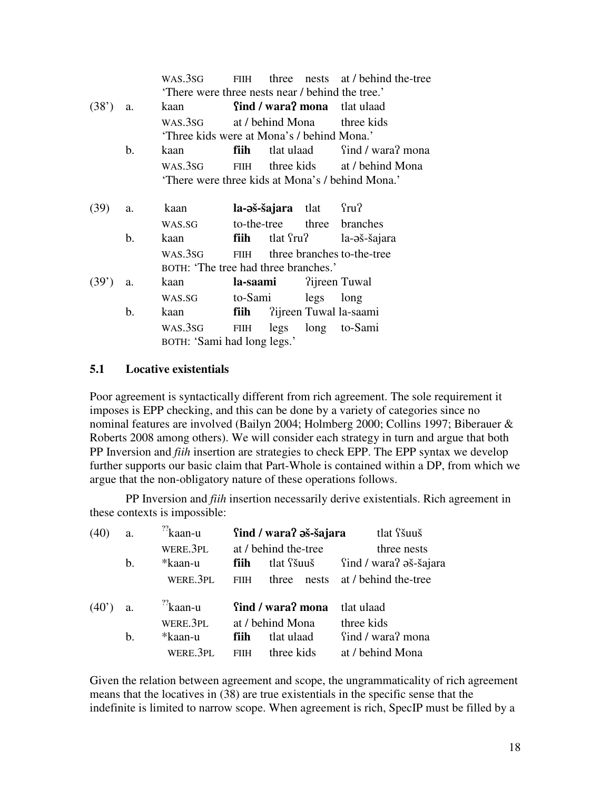|       |                             | WAS.3SG                                               | <b>FIIH</b>      |  |                        | three nests at / behind the-tree    |
|-------|-----------------------------|-------------------------------------------------------|------------------|--|------------------------|-------------------------------------|
|       |                             | There were three nests near / behind the tree.'       |                  |  |                        |                                     |
| (38') | a.                          | kaan                                                  |                  |  |                        | <b>find / wara? mona</b> tlat ulaad |
|       |                             | WAS.3SG<br>'Three kids were at Mona's / behind Mona.' | at / behind Mona |  |                        | three kids                          |
|       | b.                          | kaan                                                  | fiih             |  |                        | tlat ulaad find / wara? mona        |
|       |                             | WAS.3SG                                               |                  |  |                        | FIIH three kids at / behind Mona    |
|       |                             | 'There were three kids at Mona's / behind Mona.'      |                  |  |                        |                                     |
| (39)  | a.                          | kaan                                                  |                  |  | la-aš-šajara tlat fru? |                                     |
|       |                             | WAS.SG                                                |                  |  |                        | to-the-tree three branches          |
|       | b.                          | kaan                                                  |                  |  |                        | <b>fiih</b> tlat fru? la-aš-šajara  |
|       |                             | WAS.3SG<br>BOTH: 'The tree had three branches.'       |                  |  |                        | FIIH three branches to-the-tree     |
| (39') | a.                          | kaan                                                  | la-saami         |  | ?ijreen Tuwal          |                                     |
|       |                             | WAS.SG                                                | to-Sami          |  | legs long              |                                     |
|       | b.                          | kaan                                                  | fiih             |  |                        | ?ijreen Tuwal la-saami              |
|       |                             | WAS.3SG                                               | <b>FIIH</b>      |  |                        | legs long to-Sami                   |
|       | BOTH: 'Sami had long legs.' |                                                       |                  |  |                        |                                     |

## **5.1 Locative existentials**

Poor agreement is syntactically different from rich agreement. The sole requirement it imposes is EPP checking, and this can be done by a variety of categories since no nominal features are involved (Bailyn 2004; Holmberg 2000; Collins 1997; Biberauer & Roberts 2008 among others). We will consider each strategy in turn and argue that both PP Inversion and *fiih* insertion are strategies to check EPP. The EPP syntax we develop further supports our basic claim that Part-Whole is contained within a DP, from which we argue that the non-obligatory nature of these operations follows.

PP Inversion and *fiih* insertion necessarily derive existentials. Rich agreement in these contexts is impossible:

| (40) | a. | $^{22}$ kaan-u       | find / wara? a s-šajara |                      | tlat <i>f</i> šuuš     |
|------|----|----------------------|-------------------------|----------------------|------------------------|
|      |    | WERE.3PL             |                         | at / behind the-tree | three nests            |
|      | b. | *kaan-u              | fiih                    | tlat <i>f</i> šuuš   | find / wara? aš-šajara |
|      |    | WERE.3PL             | <b>FIIH</b>             | three<br>nests       | at / behind the-tree   |
|      |    |                      |                         |                      |                        |
| (40) | a. | $\frac{?}{?}$ kaan-u |                         | find / wara? mona    | tlat ulaad             |
|      |    | WERE.3PL             |                         | at / behind Mona     | three kids             |
|      | b. | *kaan-u              | fiih.                   | tlat ulaad           | find / wara? mona      |

Given the relation between agreement and scope, the ungrammaticality of rich agreement means that the locatives in (38) are true existentials in the specific sense that the indefinite is limited to narrow scope. When agreement is rich, SpecIP must be filled by a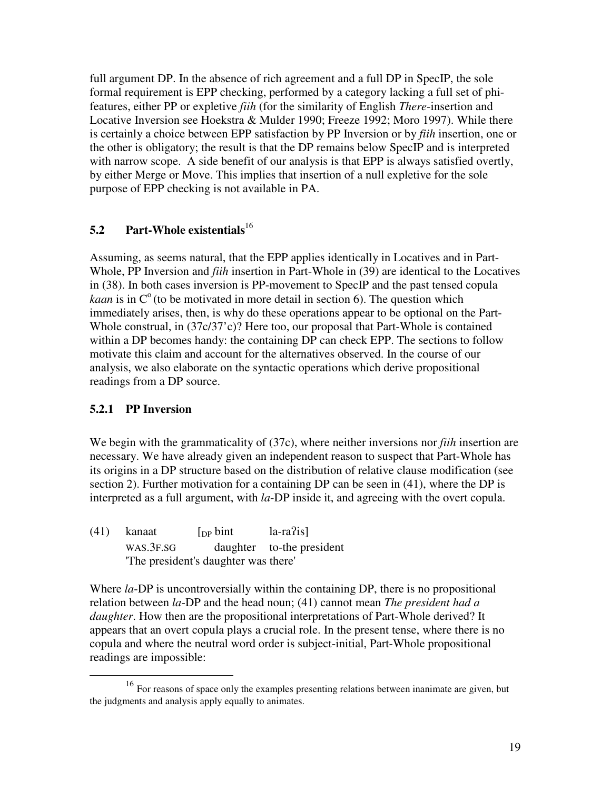full argument DP. In the absence of rich agreement and a full DP in SpecIP, the sole formal requirement is EPP checking, performed by a category lacking a full set of phifeatures, either PP or expletive *fiih* (for the similarity of English *There*-insertion and Locative Inversion see Hoekstra & Mulder 1990; Freeze 1992; Moro 1997). While there is certainly a choice between EPP satisfaction by PP Inversion or by *fiih* insertion, one or the other is obligatory; the result is that the DP remains below SpecIP and is interpreted with narrow scope. A side benefit of our analysis is that EPP is always satisfied overtly, by either Merge or Move. This implies that insertion of a null expletive for the sole purpose of EPP checking is not available in PA.

# **5.2 Part-Whole existentials**<sup>16</sup>

Assuming, as seems natural, that the EPP applies identically in Locatives and in Part-Whole, PP Inversion and *fiih* insertion in Part-Whole in (39) are identical to the Locatives in (38). In both cases inversion is PP-movement to SpecIP and the past tensed copula *kaan* is in  $C^{\circ}$  (to be motivated in more detail in section 6). The question which immediately arises, then, is why do these operations appear to be optional on the Part-Whole construal, in (37c/37'c)? Here too, our proposal that Part-Whole is contained within a DP becomes handy: the containing DP can check EPP. The sections to follow motivate this claim and account for the alternatives observed. In the course of our analysis, we also elaborate on the syntactic operations which derive propositional readings from a DP source.

## **5.2.1 PP Inversion**

 $\overline{a}$ 

We begin with the grammaticality of (37c), where neither inversions nor *fiih* insertion are necessary. We have already given an independent reason to suspect that Part-Whole has its origins in a DP structure based on the distribution of relative clause modification (see section 2). Further motivation for a containing DP can be seen in (41), where the DP is interpreted as a full argument, with *la*-DP inside it, and agreeing with the overt copula.

 $(41)$  kanaat [<sub>DP</sub> bint la-ra?is] WAS.3F.SG daughter to-the president 'The president's daughter was there'

Where *la*-DP is uncontroversially within the containing DP, there is no propositional relation between *la*-DP and the head noun; (41) cannot mean *The president had a daughter*. How then are the propositional interpretations of Part-Whole derived? It appears that an overt copula plays a crucial role. In the present tense, where there is no copula and where the neutral word order is subject-initial, Part-Whole propositional readings are impossible:

<sup>&</sup>lt;sup>16</sup> For reasons of space only the examples presenting relations between inanimate are given, but the judgments and analysis apply equally to animates.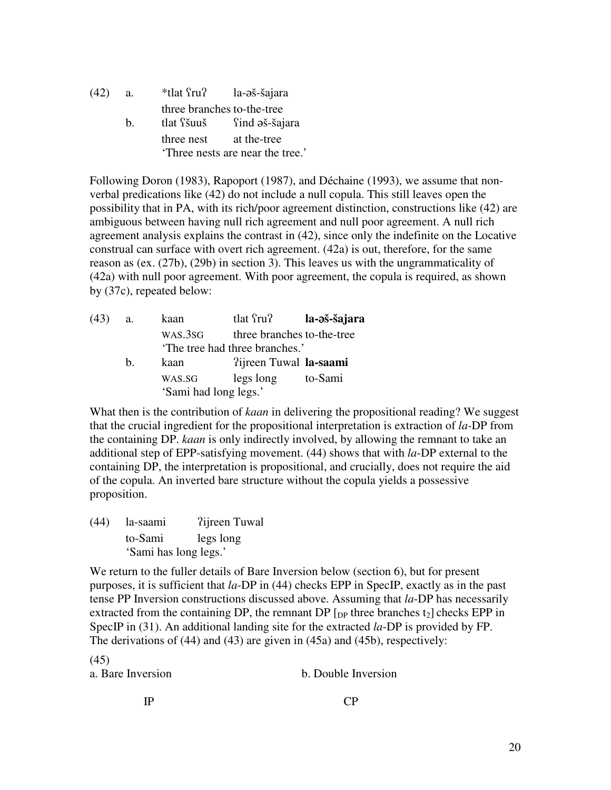| (42) | a.          | *tlat fru? la-aš-šajara        |                           |  |
|------|-------------|--------------------------------|---------------------------|--|
|      |             | three branches to-the-tree     |                           |  |
|      | $h_{\cdot}$ |                                | tlat fšuuš find aš-šajara |  |
|      |             | three nest                     | at the-tree               |  |
|      |             | Three nests are near the tree. |                           |  |

Following Doron (1983), Rapoport (1987), and Déchaine (1993), we assume that nonverbal predications like (42) do not include a null copula. This still leaves open the possibility that in PA, with its rich/poor agreement distinction, constructions like (42) are ambiguous between having null rich agreement and null poor agreement. A null rich agreement analysis explains the contrast in (42), since only the indefinite on the Locative construal can surface with overt rich agreement. (42a) is out, therefore, for the same reason as (ex. (27b), (29b) in section 3). This leaves us with the ungrammaticality of (42a) with null poor agreement. With poor agreement, the copula is required, as shown by (37c), repeated below:

| (43) | a.      | kaan                  | tlat fru?                     | la-əš-šajara               |
|------|---------|-----------------------|-------------------------------|----------------------------|
|      |         | WAS.3SG               |                               | three branches to-the-tree |
|      |         |                       | The tree had three branches.' |                            |
|      | $h_{-}$ | kaan                  | ?ijreen Tuwal la-saami        |                            |
|      |         | WAS.SG                | legs long                     | to-Sami                    |
|      |         | 'Sami had long legs.' |                               |                            |

What then is the contribution of *kaan* in delivering the propositional reading? We suggest that the crucial ingredient for the propositional interpretation is extraction of *la-*DP from the containing DP. *kaan* is only indirectly involved, by allowing the remnant to take an additional step of EPP-satisfying movement. (44) shows that with *la*-DP external to the containing DP, the interpretation is propositional, and crucially, does not require the aid of the copula. An inverted bare structure without the copula yields a possessive proposition.

(44) la-saami ?ijreen Tuwal to-Sami legs long 'Sami has long legs.'

We return to the fuller details of Bare Inversion below (section 6), but for present purposes, it is sufficient that *la*-DP in (44) checks EPP in SpecIP, exactly as in the past tense PP Inversion constructions discussed above. Assuming that *la*-DP has necessarily extracted from the containing DP, the remnant DP  $\lceil_{DP}$  three branches t<sub>2</sub> $\lceil$  checks EPP in SpecIP in (31). An additional landing site for the extracted *la*-DP is provided by FP. The derivations of (44) and (43) are given in (45a) and (45b), respectively:

(45)

a. Bare Inversion b. Double Inversion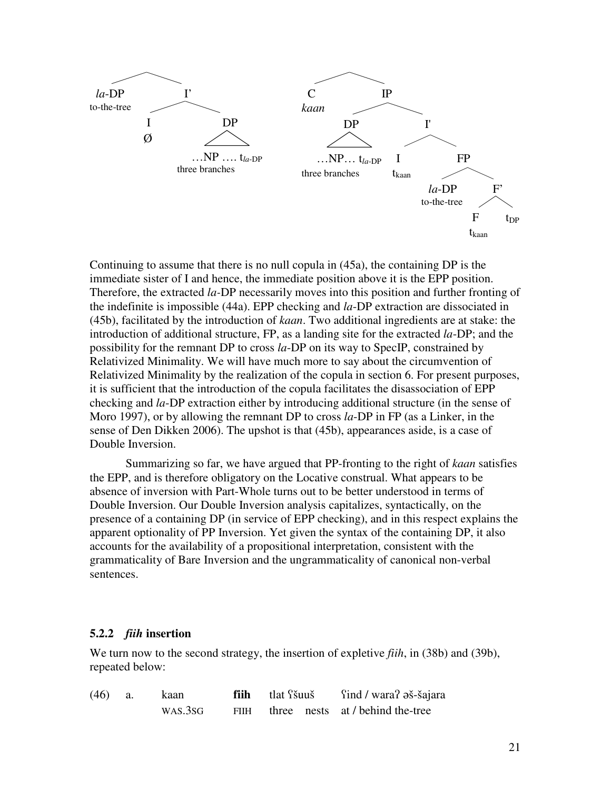

Continuing to assume that there is no null copula in (45a), the containing DP is the immediate sister of I and hence, the immediate position above it is the EPP position. Therefore, the extracted *la-*DP necessarily moves into this position and further fronting of the indefinite is impossible (44a). EPP checking and *la*-DP extraction are dissociated in (45b), facilitated by the introduction of *kaan*. Two additional ingredients are at stake: the introduction of additional structure, FP, as a landing site for the extracted *la*-DP; and the possibility for the remnant DP to cross *la*-DP on its way to SpecIP, constrained by Relativized Minimality. We will have much more to say about the circumvention of Relativized Minimality by the realization of the copula in section 6. For present purposes, it is sufficient that the introduction of the copula facilitates the disassociation of EPP checking and *la*-DP extraction either by introducing additional structure (in the sense of Moro 1997), or by allowing the remnant DP to cross *la*-DP in FP (as a Linker, in the sense of Den Dikken 2006). The upshot is that (45b), appearances aside, is a case of Double Inversion.

Summarizing so far, we have argued that PP-fronting to the right of *kaan* satisfies the EPP, and is therefore obligatory on the Locative construal. What appears to be absence of inversion with Part-Whole turns out to be better understood in terms of Double Inversion. Our Double Inversion analysis capitalizes, syntactically, on the presence of a containing DP (in service of EPP checking), and in this respect explains the apparent optionality of PP Inversion. Yet given the syntax of the containing DP, it also accounts for the availability of a propositional interpretation, consistent with the grammaticality of Bare Inversion and the ungrammaticality of canonical non-verbal sentences.

#### **5.2.2** *fiih* **insertion**

We turn now to the second strategy, the insertion of expletive *fiih*, in (38b) and (39b), repeated below:

| $(46)$ a. | kaan    | fiih tlat <i>f</i> šuuš | find / wara? Əš-šajara                |
|-----------|---------|-------------------------|---------------------------------------|
|           | WAS.3SG |                         | FIIH three nests at / behind the-tree |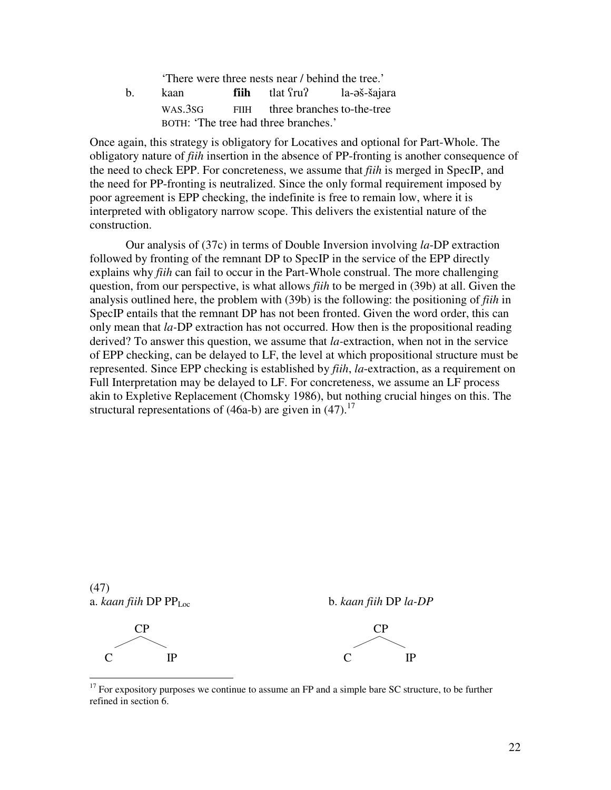'There were three nests near / behind the tree.' b. kaan **fiih** tlat <sup>S</sup>ru? la-aš-šajara

|  | <b>R</b> aan | <br>uai nui                          | 14-05-341416 |
|--|--------------|--------------------------------------|--------------|
|  | WAS.3SG      | FIIH three branches to-the-tree      |              |
|  |              | BOTH: 'The tree had three branches.' |              |

Once again, this strategy is obligatory for Locatives and optional for Part-Whole. The obligatory nature of *fiih* insertion in the absence of PP-fronting is another consequence of the need to check EPP. For concreteness, we assume that *fiih* is merged in SpecIP, and the need for PP-fronting is neutralized. Since the only formal requirement imposed by poor agreement is EPP checking, the indefinite is free to remain low, where it is interpreted with obligatory narrow scope. This delivers the existential nature of the construction.

 Our analysis of (37c) in terms of Double Inversion involving *la*-DP extraction followed by fronting of the remnant DP to SpecIP in the service of the EPP directly explains why *fiih* can fail to occur in the Part-Whole construal. The more challenging question, from our perspective, is what allows *fiih* to be merged in (39b) at all. Given the analysis outlined here, the problem with (39b) is the following: the positioning of *fiih* in SpecIP entails that the remnant DP has not been fronted. Given the word order, this can only mean that *la-*DP extraction has not occurred. How then is the propositional reading derived? To answer this question, we assume that *la-*extraction, when not in the service of EPP checking, can be delayed to LF, the level at which propositional structure must be represented. Since EPP checking is established by *fiih*, *la*-extraction, as a requirement on Full Interpretation may be delayed to LF. For concreteness, we assume an LF process akin to Expletive Replacement (Chomsky 1986), but nothing crucial hinges on this. The structural representations of (46a-b) are given in  $(47)$ .<sup>17</sup>

(47)

 $\overline{a}$ 

a. *kaan fiih* DP PPLoc b. *kaan fiih* DP *la-DP*



 $17$  For expository purposes we continue to assume an FP and a simple bare SC structure, to be further refined in section 6.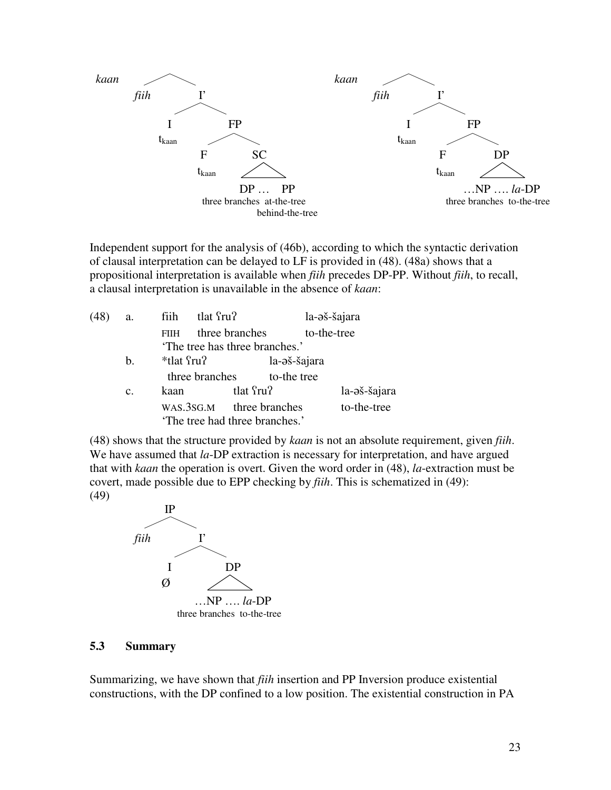

Independent support for the analysis of (46b), according to which the syntactic derivation of clausal interpretation can be delayed to LF is provided in (48). (48a) shows that a propositional interpretation is available when *fiih* precedes DP-PP. Without *fiih*, to recall, a clausal interpretation is unavailable in the absence of *kaan*:

| (48) | a.             | tlat fru?<br>fiih |                                                            | la-əš-šajara |
|------|----------------|-------------------|------------------------------------------------------------|--------------|
|      |                | <b>FIIH</b>       | three branches                                             | to-the-tree  |
|      |                |                   | 'The tree has three branches.'                             |              |
|      | $\mathbf{b}$ . | *tlat fru?        | la-əš-šajara                                               |              |
|      |                | three branches    | to-the tree                                                |              |
|      | C.             | kaan              | tlat fru?                                                  | la-əš-šajara |
|      |                |                   | WAS.3SG.M three branches<br>'The tree had three branches.' | to-the-tree  |

(48) shows that the structure provided by *kaan* is not an absolute requirement, given *fiih*. We have assumed that *la*-DP extraction is necessary for interpretation, and have argued that with *kaan* the operation is overt. Given the word order in (48), *la*-extraction must be covert, made possible due to EPP checking by *fiih*. This is schematized in (49): (49)



#### **5.3 Summary**

Summarizing, we have shown that *fiih* insertion and PP Inversion produce existential constructions, with the DP confined to a low position. The existential construction in PA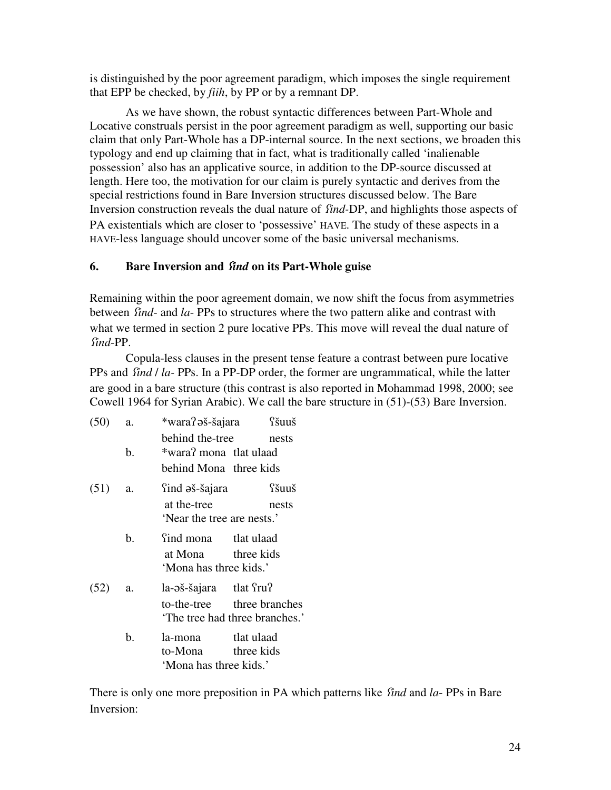is distinguished by the poor agreement paradigm, which imposes the single requirement that EPP be checked, by *fiih*, by PP or by a remnant DP.

 As we have shown, the robust syntactic differences between Part-Whole and Locative construals persist in the poor agreement paradigm as well, supporting our basic claim that only Part-Whole has a DP-internal source. In the next sections, we broaden this typology and end up claiming that in fact, what is traditionally called 'inalienable possession' also has an applicative source, in addition to the DP-source discussed at length. Here too, the motivation for our claim is purely syntactic and derives from the special restrictions found in Bare Inversion structures discussed below. The Bare Inversion construction reveals the dual nature of *find-DP*, and highlights those aspects of PA existentials which are closer to 'possessive' HAVE. The study of these aspects in a HAVE-less language should uncover some of the basic universal mechanisms.

# **6.** Bare Inversion and *find* on its Part-Whole guise

Remaining within the poor agreement domain, we now shift the focus from asymmetries between *find*- and *la*- PPs to structures where the two pattern alike and contrast with what we termed in section 2 pure locative PPs. This move will reveal the dual nature of ÷*ind*-PP.

Copula-less clauses in the present tense feature a contrast between pure locative PPs and *find* / *la*- PPs. In a PP-DP order, the former are ungrammatical, while the latter are good in a bare structure (this contrast is also reported in Mohammad 1998, 2000; see Cowell 1964 for Syrian Arabic). We call the bare structure in (51)-(53) Bare Inversion.

| (50) | a. | *wara?əš-šajara fšuuš                                       |            |       |
|------|----|-------------------------------------------------------------|------------|-------|
|      |    | behind the-tree                                             |            | nests |
|      | b. | *wara? mona tlat ulaad                                      |            |       |
|      |    | behind Mona three kids                                      |            |       |
| (51) | a. | find əš-šajara                                              |            | fšuuš |
|      |    | at the-tree<br>'Near the tree are nests.'                   |            | nests |
|      | b. | find mona tlat ulaad                                        |            |       |
|      |    | at Mona three kids<br>'Mona has three kids.'                |            |       |
| (52) | a. | la-əš-šajara tlat fru?                                      |            |       |
|      |    | to-the-tree three branches<br>The tree had three branches.' |            |       |
|      | b. | la-mona<br>to-Mona three kids<br>'Mona has three kids.'     | tlat ulaad |       |

There is only one more preposition in PA which patterns like *find* and *la*- PPs in Bare Inversion: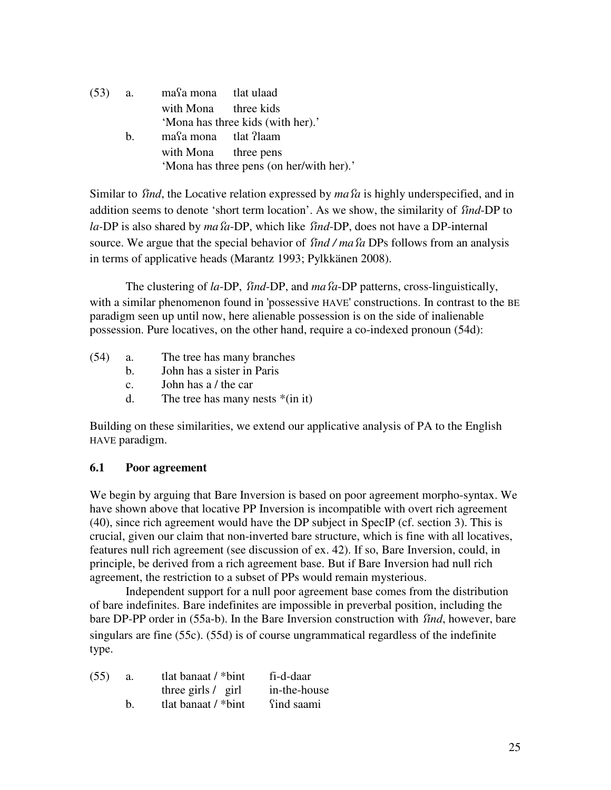(53) a. ma÷a mona tlat ulaad with Mona three kids 'Mona has three kids (with her).' b. masa mona tlat ?laam with Mona three pens 'Mona has three pens (on her/with her).'

Similar to *find*, the Locative relation expressed by *ma fa* is highly underspecified, and in addition seems to denote 'short term location'. As we show, the similarity of find-DP to *la-DP* is also shared by *ma* fa-DP, which like find-DP, does not have a DP-internal source. We argue that the special behavior of *find / ma fa* DPs follows from an analysis in terms of applicative heads (Marantz 1993; Pylkkänen 2008).

The clustering of *la*-DP, *find*-DP, and *ma fa*-DP patterns, cross-linguistically, with a similar phenomenon found in 'possessive HAVE' constructions. In contrast to the BE paradigm seen up until now, here alienable possession is on the side of inalienable possession. Pure locatives, on the other hand, require a co-indexed pronoun (54d):

- (54) a. The tree has many branches
	- b. John has a sister in Paris
	- c. John has a / the car
	- d. The tree has many nests  $*(\text{in it})$

Building on these similarities, we extend our applicative analysis of PA to the English HAVE paradigm.

## **6.1 Poor agreement**

We begin by arguing that Bare Inversion is based on poor agreement morpho-syntax. We have shown above that locative PP Inversion is incompatible with overt rich agreement (40), since rich agreement would have the DP subject in SpecIP (cf. section 3). This is crucial, given our claim that non-inverted bare structure, which is fine with all locatives, features null rich agreement (see discussion of ex. 42). If so, Bare Inversion, could, in principle, be derived from a rich agreement base. But if Bare Inversion had null rich agreement, the restriction to a subset of PPs would remain mysterious.

 Independent support for a null poor agreement base comes from the distribution of bare indefinites. Bare indefinites are impossible in preverbal position, including the bare DP-PP order in (55a-b). In the Bare Inversion construction with *find*, however, bare singulars are fine (55c). (55d) is of course ungrammatical regardless of the indefinite type.

| (55) | a.          | tlat banaat $/$ *bint     | fi-d-daar    |
|------|-------------|---------------------------|--------------|
|      |             | three girls / girl        | in-the-house |
|      | $h_{\cdot}$ | tlat banaat $\ell^*$ bint | find saami   |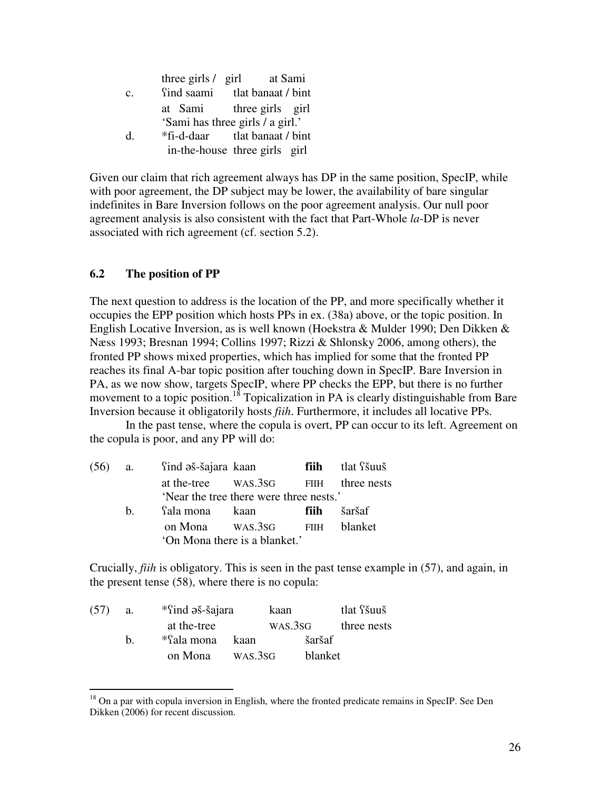|                | three girls $\ell$ girl              | at Sami |
|----------------|--------------------------------------|---------|
| $\mathbf{c}$ . | find saami tlat banaat / bint        |         |
|                | at Sami three girls girl             |         |
|                | 'Sami has three girls / a girl.'     |         |
| d.             | <i>*fi-d-daar</i> tlat banaat / bint |         |
|                | in-the-house three girls girl        |         |

Given our claim that rich agreement always has DP in the same position, SpecIP, while with poor agreement, the DP subject may be lower, the availability of bare singular indefinites in Bare Inversion follows on the poor agreement analysis. Our null poor agreement analysis is also consistent with the fact that Part-Whole *la*-DP is never associated with rich agreement (cf. section 5.2).

## **6.2 The position of PP**

 $\overline{a}$ 

The next question to address is the location of the PP, and more specifically whether it occupies the EPP position which hosts PPs in ex. (38a) above, or the topic position. In English Locative Inversion, as is well known (Hoekstra & Mulder 1990; Den Dikken & Næss 1993; Bresnan 1994; Collins 1997; Rizzi & Shlonsky 2006, among others), the fronted PP shows mixed properties, which has implied for some that the fronted PP reaches its final A-bar topic position after touching down in SpecIP. Bare Inversion in PA, as we now show, targets SpecIP, where PP checks the EPP, but there is no further movement to a topic position.<sup>18</sup> Topicalization in PA is clearly distinguishable from Bare Inversion because it obligatorily hosts *fiih*. Furthermore, it includes all locative PPs.

 In the past tense, where the copula is overt, PP can occur to its left. Agreement on the copula is poor, and any PP will do:

|         | (56) a. <sup>S</sup> ind əš-šajara kaan |                                         |      | fiih tlat <i>f</i> šuuš |
|---------|-----------------------------------------|-----------------------------------------|------|-------------------------|
|         |                                         | at the-tree WAS.3SG FIIH three nests    |      |                         |
|         |                                         | 'Near the tree there were three nests.' |      |                         |
| $h_{-}$ | fala mona kaan                          |                                         | fiih | šaršaf                  |
|         |                                         | on Mona WAS.3sG FIIH blanket            |      |                         |
|         |                                         | 'On Mona there is a blanket.'           |      |                         |

Crucially, *fiih* is obligatory. This is seen in the past tense example in (57), and again, in the present tense (58), where there is no copula:

| (57) | a. |             | *find əš-šajara |         | tlat <i>f</i> šuuš |
|------|----|-------------|-----------------|---------|--------------------|
|      |    | at the-tree |                 | WAS.3SG | three nests        |
|      | h. | *fala mona  | kaan            | šaršaf  |                    |
|      |    | on Mona     | WAS.3SG         | blanket |                    |

 $18$  On a par with copula inversion in English, where the fronted predicate remains in SpecIP. See Den Dikken (2006) for recent discussion.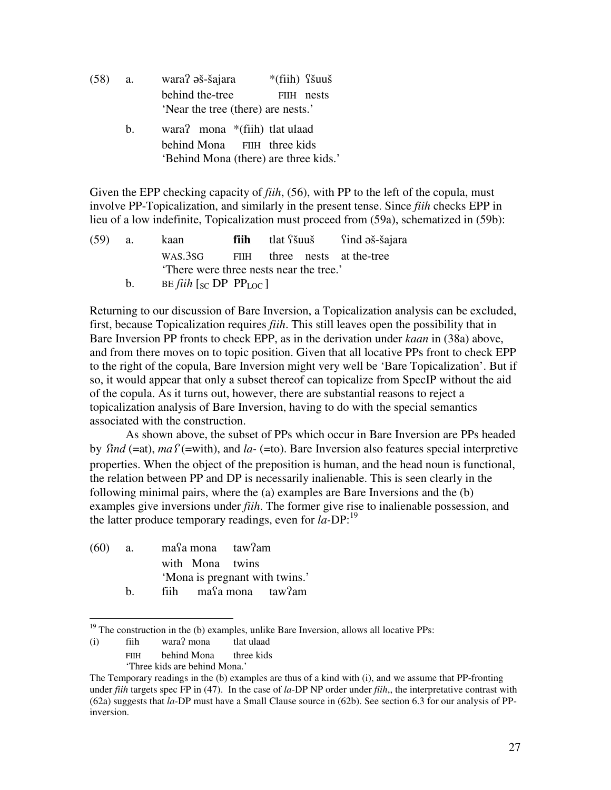| (58) | a. | wara? əš-šajara                    | $*(fiih)$ fšuuš |
|------|----|------------------------------------|-----------------|
|      |    | behind the-tree                    | FIIH nests      |
|      |    | 'Near the tree (there) are nests.' |                 |
|      |    |                                    |                 |

b. wara? mona \*(fiih) tlat ulaad behind Mona FIIH three kids 'Behind Mona (there) are three kids.'

Given the EPP checking capacity of *fiih*, (56), with PP to the left of the copula, must involve PP-Topicalization, and similarly in the present tense. Since *fiih* checks EPP in lieu of a low indefinite, Topicalization must proceed from (59a), schematized in (59b):

| $(59)$ a. | kaan                                   |  | fiih tlat stău find a s-šajara |
|-----------|----------------------------------------|--|--------------------------------|
|           | WAS.3sG FIIH three nests at the-tree   |  |                                |
|           | There were three nests near the tree.' |  |                                |
|           | $\alpha$ . The $\alpha$                |  |                                |

b. BE *fiih*  $\lceil \sec{SP} \cdot \text{PP}_{\text{LOC}} \rceil$ 

Returning to our discussion of Bare Inversion, a Topicalization analysis can be excluded, first, because Topicalization requires *fiih*. This still leaves open the possibility that in Bare Inversion PP fronts to check EPP, as in the derivation under *kaan* in (38a) above, and from there moves on to topic position. Given that all locative PPs front to check EPP to the right of the copula, Bare Inversion might very well be 'Bare Topicalization'. But if so, it would appear that only a subset thereof can topicalize from SpecIP without the aid of the copula. As it turns out, however, there are substantial reasons to reject a topicalization analysis of Bare Inversion, having to do with the special semantics associated with the construction.

As shown above, the subset of PPs which occur in Bare Inversion are PPs headed by *find* (=at),  $maf$  (=with), and *la-* (=to). Bare Inversion also features special interpretive properties. When the object of the preposition is human, and the head noun is functional, the relation between PP and DP is necessarily inalienable. This is seen clearly in the following minimal pairs, where the (a) examples are Bare Inversions and the (b) examples give inversions under *fiih*. The former give rise to inalienable possession, and the latter produce temporary readings, even for *la-*DP:<sup>19</sup>

| (60) | <b>a.</b> | masa mona taw?am |  |                                |  |
|------|-----------|------------------|--|--------------------------------|--|
|      |           | with Mona twins  |  |                                |  |
|      |           |                  |  | 'Mona is pregnant with twins.' |  |
|      | h.        |                  |  | fiih masa mona taw?am          |  |

 $19$ <sup>19</sup> The construction in the (b) examples, unlike Bare Inversion, allows all locative PPs:

 $\overline{a}$ 

<sup>(</sup>i) fiih wara/ mona tlat ulaad

FIIH behind Mona three kids

 <sup>&#</sup>x27;Three kids are behind Mona.'

The Temporary readings in the (b) examples are thus of a kind with (i), and we assume that PP-fronting under *fiih* targets spec FP in (47). In the case of *la-*DP NP order under *fiih*,, the interpretative contrast with (62a) suggests that *la-*DP must have a Small Clause source in (62b). See section 6.3 for our analysis of PPinversion.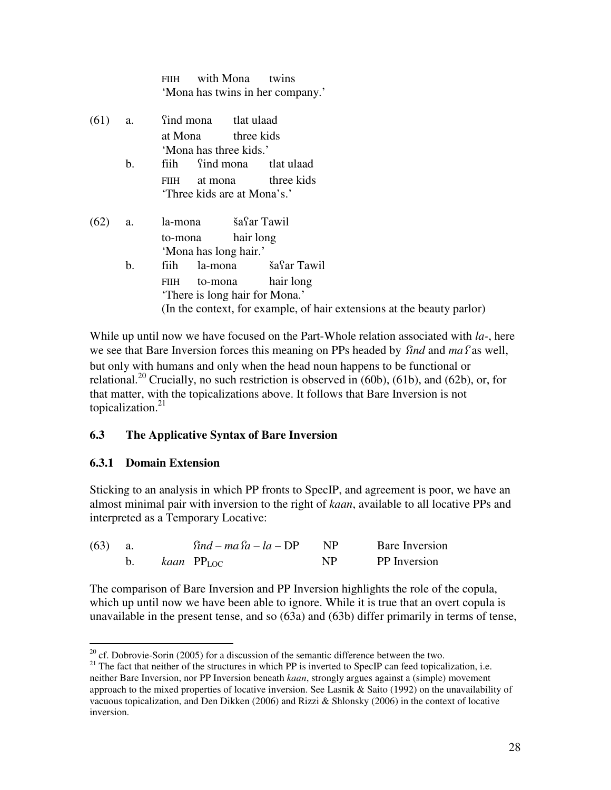|      |               | with Mona<br><b>FIIH</b><br>twins<br>'Mona has twins in her company.'                                                                    |  |  |  |  |
|------|---------------|------------------------------------------------------------------------------------------------------------------------------------------|--|--|--|--|
| (61) | a.            | find mona tlat ulaad<br>at Mona three kids                                                                                               |  |  |  |  |
|      |               | 'Mona has three kids.'                                                                                                                   |  |  |  |  |
|      | b.            | fiih find mona<br>tlat ulaad                                                                                                             |  |  |  |  |
|      |               | at mona three kids<br>FIIH<br>'Three kids are at Mona's.'                                                                                |  |  |  |  |
| (62) | a.            | la-mona šafar Tawil                                                                                                                      |  |  |  |  |
|      |               | hair long<br>to-mona<br>'Mona has long hair.'                                                                                            |  |  |  |  |
|      | $\mathbf b$ . | la-mona šafar Tawil<br>fiih                                                                                                              |  |  |  |  |
|      |               | hair long<br>to-mona<br>FIIH<br>'There is long hair for Mona.'<br>(In the context, for example, of hair extensions at the beauty parlor) |  |  |  |  |
|      |               |                                                                                                                                          |  |  |  |  |

While up until now we have focused on the Part-Whole relation associated with *la-*, here we see that Bare Inversion forces this meaning on PPs headed by *find* and ma*f* as well, but only with humans and only when the head noun happens to be functional or relational.<sup>20</sup> Crucially, no such restriction is observed in (60b), (61b), and (62b), or, for that matter, with the topicalizations above. It follows that Bare Inversion is not topicalization. $21$ 

## **6.3 The Applicative Syntax of Bare Inversion**

## **6.3.1 Domain Extension**

 $\overline{a}$ 

Sticking to an analysis in which PP fronts to SpecIP, and agreement is poor, we have an almost minimal pair with inversion to the right of *kaan*, available to all locative PPs and interpreted as a Temporary Locative:

| $(63)$ a. |  | $find - ma\$ $a - la - DP$ |     | <b>Bare Inversion</b> |
|-----------|--|----------------------------|-----|-----------------------|
|           |  | b. $kaan$ $PP_{LOC}$       | NP. | <b>PP</b> Inversion   |

The comparison of Bare Inversion and PP Inversion highlights the role of the copula, which up until now we have been able to ignore. While it is true that an overt copula is unavailable in the present tense, and so (63a) and (63b) differ primarily in terms of tense,

 $20$  cf. Dobrovie-Sorin (2005) for a discussion of the semantic difference between the two.

 $21$  The fact that neither of the structures in which PP is inverted to SpecIP can feed topicalization, i.e. neither Bare Inversion, nor PP Inversion beneath *kaan*, strongly argues against a (simple) movement approach to the mixed properties of locative inversion. See Lasnik & Saito (1992) on the unavailability of vacuous topicalization, and Den Dikken (2006) and Rizzi & Shlonsky (2006) in the context of locative inversion.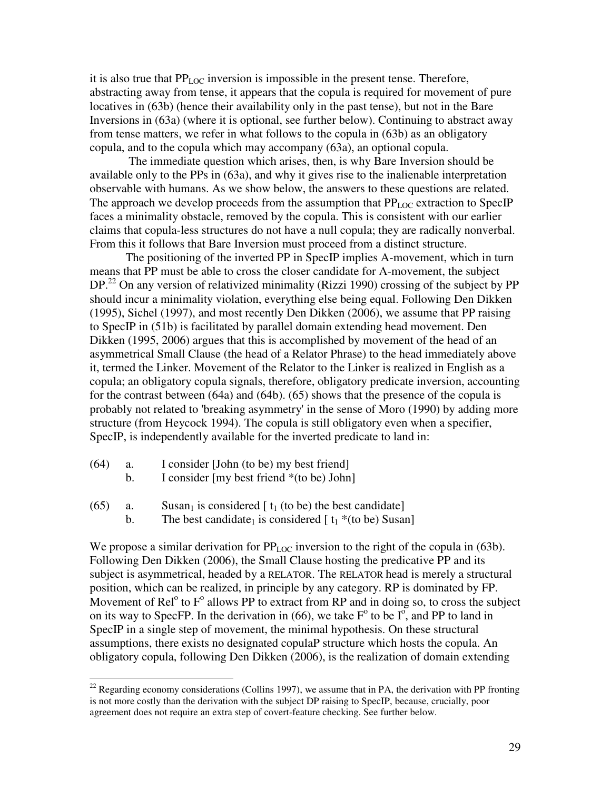it is also true that PPLOC inversion is impossible in the present tense. Therefore, abstracting away from tense, it appears that the copula is required for movement of pure locatives in (63b) (hence their availability only in the past tense), but not in the Bare Inversions in (63a) (where it is optional, see further below). Continuing to abstract away from tense matters, we refer in what follows to the copula in (63b) as an obligatory copula, and to the copula which may accompany (63a), an optional copula.

 The immediate question which arises, then, is why Bare Inversion should be available only to the PPs in (63a), and why it gives rise to the inalienable interpretation observable with humans. As we show below, the answers to these questions are related. The approach we develop proceeds from the assumption that  $PP_{LOC}$  extraction to SpecIP faces a minimality obstacle, removed by the copula. This is consistent with our earlier claims that copula-less structures do not have a null copula; they are radically nonverbal. From this it follows that Bare Inversion must proceed from a distinct structure.

 The positioning of the inverted PP in SpecIP implies A-movement, which in turn means that PP must be able to cross the closer candidate for A-movement, the subject  $DP<sup>22</sup>$  On any version of relativized minimality (Rizzi 1990) crossing of the subject by PP should incur a minimality violation, everything else being equal. Following Den Dikken (1995), Sichel (1997), and most recently Den Dikken (2006), we assume that PP raising to SpecIP in (51b) is facilitated by parallel domain extending head movement. Den Dikken (1995, 2006) argues that this is accomplished by movement of the head of an asymmetrical Small Clause (the head of a Relator Phrase) to the head immediately above it, termed the Linker. Movement of the Relator to the Linker is realized in English as a copula; an obligatory copula signals, therefore, obligatory predicate inversion, accounting for the contrast between (64a) and (64b). (65) shows that the presence of the copula is probably not related to 'breaking asymmetry' in the sense of Moro (1990) by adding more structure (from Heycock 1994). The copula is still obligatory even when a specifier, SpecIP, is independently available for the inverted predicate to land in:

(64) a. I consider [John (to be) my best friend]

 $\overline{a}$ 

- b. I consider [my best friend \*(to be) John]
- (65) a. Susan<sub>1</sub> is considered  $[t_1$  (to be) the best candidate]
	- b. The best candidate<sub>1</sub> is considered  $[t_1 * (to be) Susan]$

We propose a similar derivation for  $PP_{LOC}$  inversion to the right of the copula in (63b). Following Den Dikken (2006), the Small Clause hosting the predicative PP and its subject is asymmetrical, headed by a RELATOR. The RELATOR head is merely a structural position, which can be realized, in principle by any category. RP is dominated by FP. Movement of  $\text{Rel}^{\circ}$  to  $F^{\circ}$  allows PP to extract from RP and in doing so, to cross the subject on its way to SpecFP. In the derivation in (66), we take  $F^{\circ}$  to be  $I^{\circ}$ , and PP to land in SpecIP in a single step of movement, the minimal hypothesis. On these structural assumptions, there exists no designated copulaP structure which hosts the copula. An obligatory copula, following Den Dikken (2006), is the realization of domain extending

<sup>&</sup>lt;sup>22</sup> Regarding economy considerations (Collins 1997), we assume that in PA, the derivation with PP fronting is not more costly than the derivation with the subject DP raising to SpecIP, because, crucially, poor agreement does not require an extra step of covert-feature checking. See further below.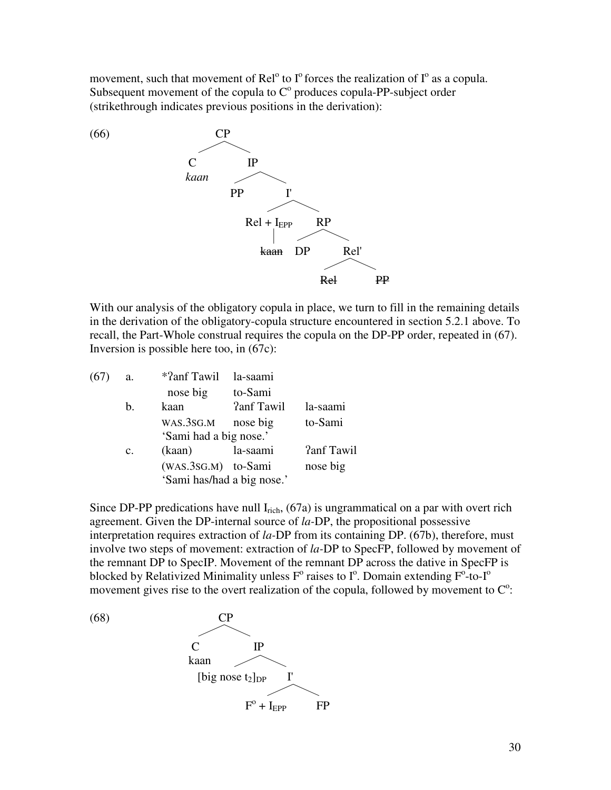movement, such that movement of Rel<sup>o</sup> to  $I^{\circ}$  forces the realization of  $I^{\circ}$  as a copula. Subsequent movement of the copula to  $C<sup>o</sup>$  produces copula-PP-subject order (strikethrough indicates previous positions in the derivation):



With our analysis of the obligatory copula in place, we turn to fill in the remaining details in the derivation of the obligatory-copula structure encountered in section 5.2.1 above. To recall, the Part-Whole construal requires the copula on the DP-PP order, repeated in (67). Inversion is possible here too, in (67c):

| (67) | a.             | *?anf Tawil                | la-saami          |                   |
|------|----------------|----------------------------|-------------------|-------------------|
|      |                | nose big                   | to-Sami           |                   |
|      | b.             | kaan                       | <b>?anf Tawil</b> | la-saami          |
|      |                | WAS.3SG.M                  | nose big          | to-Sami           |
|      |                | 'Sami had a big nose.'     |                   |                   |
|      | $\mathbf{c}$ . | (kaan)                     | la-saami          | <b>?anf Tawil</b> |
|      |                | (WAS.3SG.M) to-Sami        |                   | nose big          |
|      |                | 'Sami has/had a big nose.' |                   |                   |

Since DP-PP predications have null  $I_{\text{rich}}$ , (67a) is ungrammatical on a par with overt rich agreement. Given the DP-internal source of *la-*DP, the propositional possessive interpretation requires extraction of *la-*DP from its containing DP. (67b), therefore, must involve two steps of movement: extraction of *la-*DP to SpecFP, followed by movement of the remnant DP to SpecIP. Movement of the remnant DP across the dative in SpecFP is blocked by Relativized Minimality unless  $F^{\circ}$  raises to  $I^{\circ}$ . Domain extending  $F^{\circ}$ -to- $I^{\circ}$ movement gives rise to the overt realization of the copula, followed by movement to  $C^{\circ}$ :

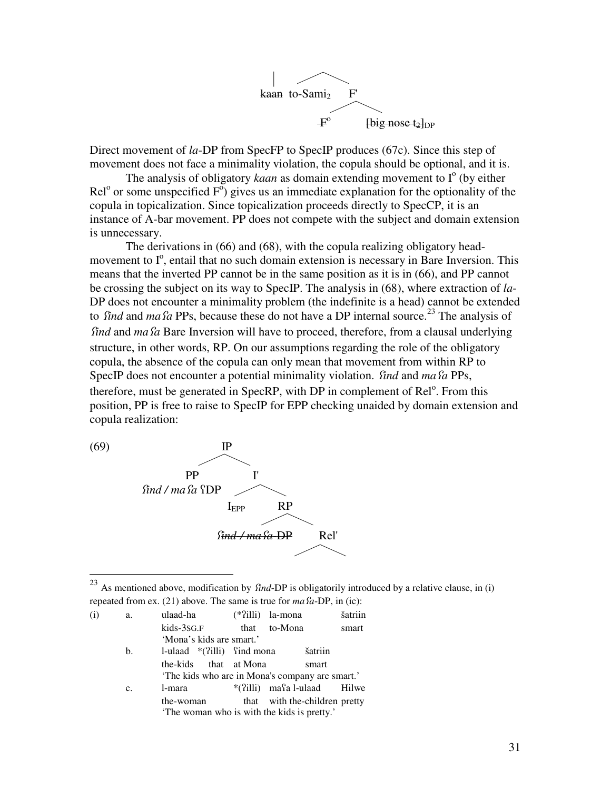

Direct movement of *la*-DP from SpecFP to SpecIP produces (67c). Since this step of movement does not face a minimality violation, the copula should be optional, and it is.

The analysis of obligatory *kaan* as domain extending movement to  $I^{\circ}$  (by either  $\text{Rel}^{\circ}$  or some unspecified  $F^{\circ}$ ) gives us an immediate explanation for the optionality of the copula in topicalization. Since topicalization proceeds directly to SpecCP, it is an instance of A-bar movement. PP does not compete with the subject and domain extension is unnecessary.

 The derivations in (66) and (68), with the copula realizing obligatory headmovement to  $I^{\circ}$ , entail that no such domain extension is necessary in Bare Inversion. This means that the inverted PP cannot be in the same position as it is in (66), and PP cannot be crossing the subject on its way to SpecIP. The analysis in (68), where extraction of *la*-DP does not encounter a minimality problem (the indefinite is a head) cannot be extended to *find* and *ma fa* PPs, because these do not have a DP internal source.<sup>23</sup> The analysis of *find* and *ma fa* Bare Inversion will have to proceed, therefore, from a clausal underlying structure, in other words, RP. On our assumptions regarding the role of the obligatory copula, the absence of the copula can only mean that movement from within RP to SpecIP does not encounter a potential minimality violation. *find* and *ma fa* PPs, therefore, must be generated in SpecRP, with DP in complement of Rel<sup>o</sup>. From this position, PP is free to raise to SpecIP for EPP checking unaided by domain extension and copula realization:



 $\overline{a}$ 

 $^{23}$  As mentioned above, modification by *find*-DP is obligatorily introduced by a relative clause, in (i) repeated from ex. (21) above. The same is true for  $ma\hat{a}$ -DP, in (ic):

| (i) | a. | ulaad-ha                                        | (*?illi) la-mona              |         | šatriin |
|-----|----|-------------------------------------------------|-------------------------------|---------|---------|
|     |    | kids-3sg.F                                      | that to-Mona                  |         | smart   |
|     |    | 'Mona's kids are smart.'                        |                               |         |         |
|     | b. | 1-ulaad $*(?i11i)$ find mona                    |                               | šatriin |         |
|     |    | the-kids that at Mona                           |                               | smart   |         |
|     |    | 'The kids who are in Mona's company are smart.' |                               |         |         |
|     | c. | l-mara                                          | *(?illi) masa l-ulaad Hilwe   |         |         |
|     |    | the-woman                                       | that with the-children pretty |         |         |
|     |    | 'The woman who is with the kids is pretty.'     |                               |         |         |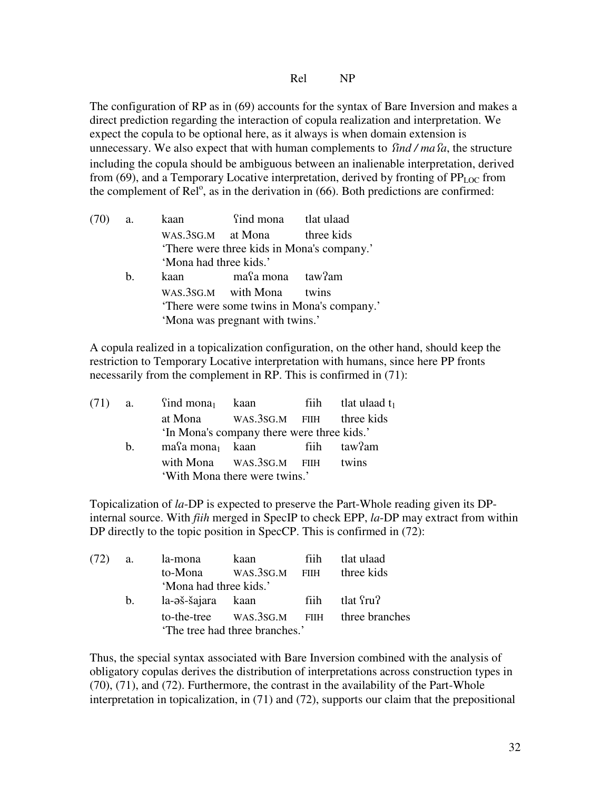Rel NP

The configuration of RP as in (69) accounts for the syntax of Bare Inversion and makes a direct prediction regarding the interaction of copula realization and interpretation. We expect the copula to be optional here, as it always is when domain extension is unnecessary. We also expect that with human complements to *find / ma fa*, the structure including the copula should be ambiguous between an inalienable interpretation, derived from (69), and a Temporary Locative interpretation, derived by fronting of  $PP_{LOC}$  from the complement of  $\text{Rel}^{\circ}$ , as in the derivation in (66). Both predictions are confirmed:

| $(70)$ a. |         |                                 | kaan find mona tlat ulaad                 |                                            |
|-----------|---------|---------------------------------|-------------------------------------------|--------------------------------------------|
|           |         |                                 | WAS.3SG.M at Mona three kids              |                                            |
|           |         |                                 | There were three kids in Mona's company.' |                                            |
|           |         | 'Mona had three kids.'          |                                           |                                            |
|           | $h_{-}$ |                                 | kaan masa mona taw?am                     |                                            |
|           |         |                                 | WAS.3SG.M with Mona twins                 |                                            |
|           |         |                                 |                                           | 'There were some twins in Mona's company.' |
|           |         | 'Mona was pregnant with twins.' |                                           |                                            |
|           |         |                                 |                                           |                                            |

A copula realized in a topicalization configuration, on the other hand, should keep the restriction to Temporary Locative interpretation with humans, since here PP fronts necessarily from the complement in RP. This is confirmed in (71):

|             |  |                                       | fiih tlat ulaad $t_1$                                                                                                                                                                               |
|-------------|--|---------------------------------------|-----------------------------------------------------------------------------------------------------------------------------------------------------------------------------------------------------|
|             |  |                                       |                                                                                                                                                                                                     |
|             |  |                                       |                                                                                                                                                                                                     |
| $h_{\cdot}$ |  |                                       |                                                                                                                                                                                                     |
|             |  |                                       |                                                                                                                                                                                                     |
|             |  |                                       |                                                                                                                                                                                                     |
|             |  | $(71)$ a. find mona <sub>1</sub> kaan | at Mona WAS.3SG.M FIIH three kids<br>'In Mona's company there were three kids.'<br>$ma\Omega$ mona <sub>1</sub> kaan fiih taw?am<br>with Mona WAS.3SG.M FIIH twins<br>'With Mona there were twins.' |

Topicalization of *la*-DP is expected to preserve the Part-Whole reading given its DPinternal source. With *fiih* merged in SpecIP to check EPP, *la*-DP may extract from within DP directly to the topic position in SpecCP. This is confirmed in  $(72)$ :

| $(72)$ a.                      |    | la-mona                | kaan ka                           | fiih | tlat ulaad                                |
|--------------------------------|----|------------------------|-----------------------------------|------|-------------------------------------------|
|                                |    |                        | to-Mona WAS.3SG.M FIIH three kids |      |                                           |
|                                |    | 'Mona had three kids.' |                                   |      |                                           |
|                                | b. | la-əš-šajara kaan      |                                   |      | fiih tlat fru?                            |
|                                |    |                        |                                   |      | to-the-tree WAS.3SG.M FIIH three branches |
| 'The tree had three branches.' |    |                        |                                   |      |                                           |

Thus, the special syntax associated with Bare Inversion combined with the analysis of obligatory copulas derives the distribution of interpretations across construction types in (70), (71), and (72). Furthermore, the contrast in the availability of the Part-Whole interpretation in topicalization, in (71) and (72), supports our claim that the prepositional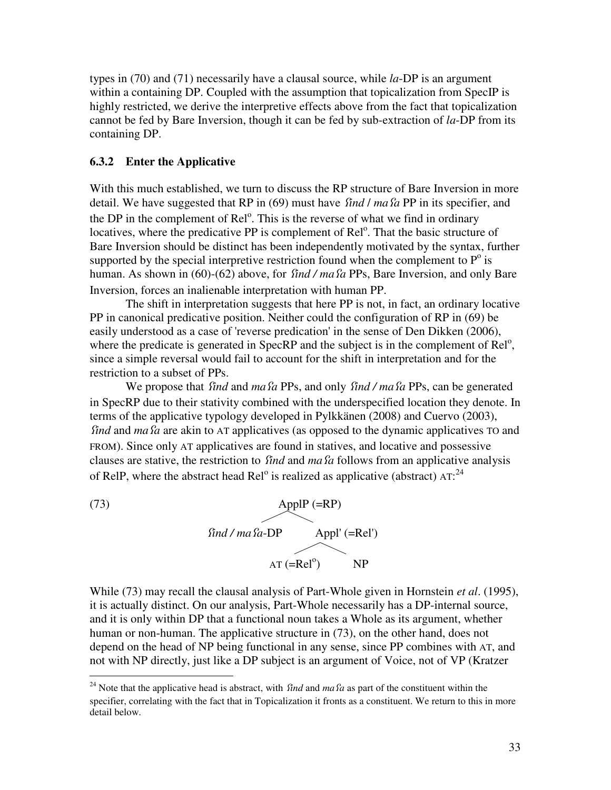types in (70) and (71) necessarily have a clausal source, while *la*-DP is an argument within a containing DP. Coupled with the assumption that topicalization from SpecIP is highly restricted, we derive the interpretive effects above from the fact that topicalization cannot be fed by Bare Inversion, though it can be fed by sub-extraction of *la*-DP from its containing DP.

## **6.3.2 Enter the Applicative**

With this much established, we turn to discuss the RP structure of Bare Inversion in more detail. We have suggested that RP in (69) must have *find I ma fa* PP in its specifier, and the DP in the complement of Rel<sup>o</sup>. This is the reverse of what we find in ordinary locatives, where the predicative PP is complement of Rel<sup>o</sup>. That the basic structure of Bare Inversion should be distinct has been independently motivated by the syntax, further supported by the special interpretive restriction found when the complement to  $P^{\circ}$  is human. As shown in (60)-(62) above, for *find / ma fa PPs*, Bare Inversion, and only Bare Inversion, forces an inalienable interpretation with human PP.

The shift in interpretation suggests that here PP is not, in fact, an ordinary locative PP in canonical predicative position. Neither could the configuration of RP in (69) be easily understood as a case of 'reverse predication' in the sense of Den Dikken (2006), where the predicate is generated in SpecRP and the subject is in the complement of  $\text{Rel}^{\text{o}}$ , since a simple reversal would fail to account for the shift in interpretation and for the restriction to a subset of PPs.

We propose that *find* and *ma fa* PPs, and only *find / ma fa* PPs, can be generated in SpecRP due to their stativity combined with the underspecified location they denote. In terms of the applicative typology developed in Pylkkänen (2008) and Cuervo (2003), *find* and *ma fa* are akin to AT applicatives (as opposed to the dynamic applicatives TO and FROM). Since only AT applicatives are found in statives, and locative and possessive clauses are stative, the restriction to *find* and *ma fa* follows from an applicative analysis of RelP, where the abstract head Rel<sup>o</sup> is realized as applicative (abstract)  $AT:^{24}$ 



 $\overline{a}$ 

While (73) may recall the clausal analysis of Part-Whole given in Hornstein *et al*. (1995), it is actually distinct. On our analysis, Part-Whole necessarily has a DP-internal source, and it is only within DP that a functional noun takes a Whole as its argument, whether human or non-human. The applicative structure in (73), on the other hand, does not depend on the head of NP being functional in any sense, since PP combines with AT, and not with NP directly, just like a DP subject is an argument of Voice, not of VP (Kratzer

<sup>&</sup>lt;sup>24</sup> Note that the applicative head is abstract, with  $\hat{I}$ *ind* and *ma*  $\hat{I}$ *a* as part of the constituent within the specifier, correlating with the fact that in Topicalization it fronts as a constituent. We return to this in more detail below.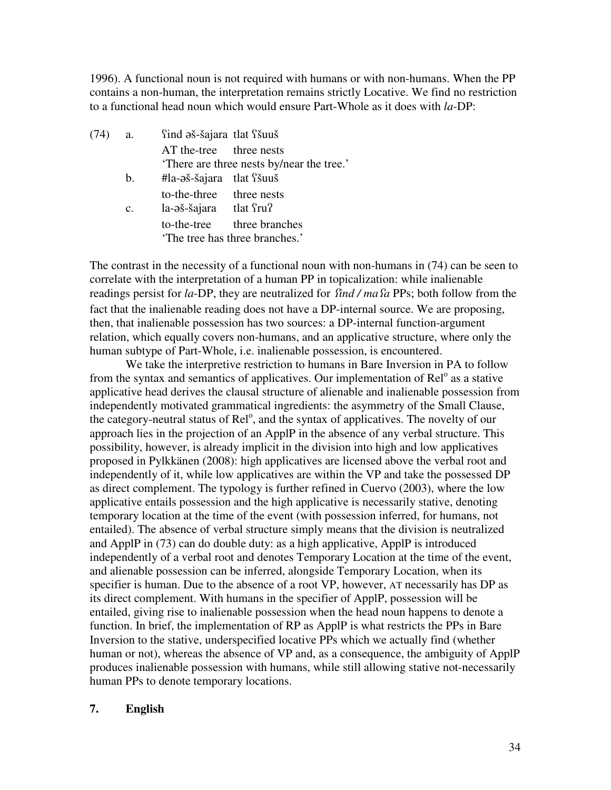1996). A functional noun is not required with humans or with non-humans. When the PP contains a non-human, the interpretation remains strictly Locative. We find no restriction to a functional head noun which would ensure Part-Whole as it does with *la*-DP:

| (74) | а.             | find əš-šajara tlat fšuuš            |                                           |
|------|----------------|--------------------------------------|-------------------------------------------|
|      |                | AT the-tree three nests              |                                           |
|      |                |                                      | 'There are three nests by/near the tree.' |
|      | $\mathbf{b}$ . | $#$ la- $\sigma$ š-šajara tlat siaus |                                           |
|      |                | to-the-three three nests             |                                           |
|      | $c_{\cdot}$    | la-aš-šajara tlat fru?               |                                           |
|      |                |                                      | to-the-tree three branches                |
|      |                |                                      | 'The tree has three branches.'            |
|      |                |                                      |                                           |

The contrast in the necessity of a functional noun with non-humans in (74) can be seen to correlate with the interpretation of a human PP in topicalization: while inalienable readings persist for *la*-DP, they are neutralized for find / ma <sup>f</sup>a PPs; both follow from the fact that the inalienable reading does not have a DP-internal source. We are proposing, then, that inalienable possession has two sources: a DP-internal function-argument relation, which equally covers non-humans, and an applicative structure, where only the human subtype of Part-Whole, i.e. inalienable possession, is encountered.

 We take the interpretive restriction to humans in Bare Inversion in PA to follow from the syntax and semantics of applicatives. Our implementation of Rel<sup>o</sup> as a stative applicative head derives the clausal structure of alienable and inalienable possession from independently motivated grammatical ingredients: the asymmetry of the Small Clause, the category-neutral status of Rel<sup>o</sup>, and the syntax of applicatives. The novelty of our approach lies in the projection of an ApplP in the absence of any verbal structure. This possibility, however, is already implicit in the division into high and low applicatives proposed in Pylkkänen (2008): high applicatives are licensed above the verbal root and independently of it, while low applicatives are within the VP and take the possessed DP as direct complement. The typology is further refined in Cuervo (2003), where the low applicative entails possession and the high applicative is necessarily stative, denoting temporary location at the time of the event (with possession inferred, for humans, not entailed). The absence of verbal structure simply means that the division is neutralized and ApplP in (73) can do double duty: as a high applicative, ApplP is introduced independently of a verbal root and denotes Temporary Location at the time of the event, and alienable possession can be inferred, alongside Temporary Location, when its specifier is human. Due to the absence of a root VP, however, AT necessarily has DP as its direct complement. With humans in the specifier of ApplP, possession will be entailed, giving rise to inalienable possession when the head noun happens to denote a function. In brief, the implementation of RP as ApplP is what restricts the PPs in Bare Inversion to the stative, underspecified locative PPs which we actually find (whether human or not), whereas the absence of VP and, as a consequence, the ambiguity of ApplP produces inalienable possession with humans, while still allowing stative not-necessarily human PPs to denote temporary locations.

## **7. English**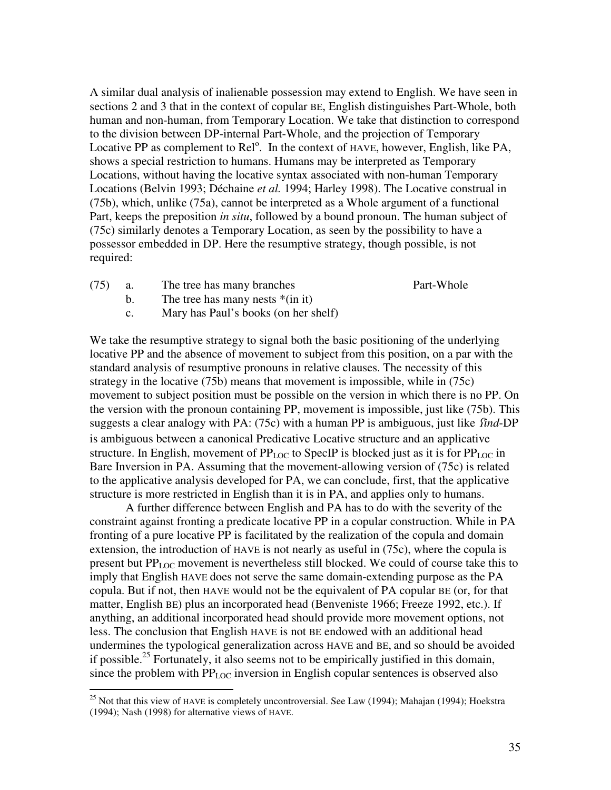A similar dual analysis of inalienable possession may extend to English. We have seen in sections 2 and 3 that in the context of copular BE, English distinguishes Part-Whole, both human and non-human, from Temporary Location. We take that distinction to correspond to the division between DP-internal Part-Whole, and the projection of Temporary Locative PP as complement to  $\text{Rel}^{\circ}$ . In the context of HAVE, however, English, like PA, shows a special restriction to humans. Humans may be interpreted as Temporary Locations, without having the locative syntax associated with non-human Temporary Locations (Belvin 1993; Déchaine *et al.* 1994; Harley 1998). The Locative construal in (75b), which, unlike (75a), cannot be interpreted as a Whole argument of a functional Part, keeps the preposition *in situ*, followed by a bound pronoun. The human subject of (75c) similarly denotes a Temporary Location, as seen by the possibility to have a possessor embedded in DP. Here the resumptive strategy, though possible, is not required:

- (75) a. The tree has many branches Part-Whole
	-

b. The tree has many nests  $*(\text{in it})$ 

 $\overline{a}$ 

c. Mary has Paul's books (on her shelf)

We take the resumptive strategy to signal both the basic positioning of the underlying locative PP and the absence of movement to subject from this position, on a par with the standard analysis of resumptive pronouns in relative clauses. The necessity of this strategy in the locative (75b) means that movement is impossible, while in (75c) movement to subject position must be possible on the version in which there is no PP. On the version with the pronoun containing PP, movement is impossible, just like (75b). This suggests a clear analogy with PA: (75c) with a human PP is ambiguous, just like *find*-DP is ambiguous between a canonical Predicative Locative structure and an applicative structure. In English, movement of  $PP_{LOC}$  to SpecIP is blocked just as it is for  $PP_{LOC}$  in Bare Inversion in PA. Assuming that the movement-allowing version of (75c) is related to the applicative analysis developed for PA, we can conclude, first, that the applicative structure is more restricted in English than it is in PA, and applies only to humans.

 A further difference between English and PA has to do with the severity of the constraint against fronting a predicate locative PP in a copular construction. While in PA fronting of a pure locative PP is facilitated by the realization of the copula and domain extension, the introduction of HAVE is not nearly as useful in (75c), where the copula is present but  $PP_{LOC}$  movement is nevertheless still blocked. We could of course take this to imply that English HAVE does not serve the same domain-extending purpose as the PA copula. But if not, then HAVE would not be the equivalent of PA copular BE (or, for that matter, English BE) plus an incorporated head (Benveniste 1966; Freeze 1992, etc.). If anything, an additional incorporated head should provide more movement options, not less. The conclusion that English HAVE is not BE endowed with an additional head undermines the typological generalization across HAVE and BE, and so should be avoided if possible.<sup>25</sup> Fortunately, it also seems not to be empirically justified in this domain, since the problem with  $PP_{LOC}$  inversion in English copular sentences is observed also

<sup>&</sup>lt;sup>25</sup> Not that this view of HAVE is completely uncontroversial. See Law (1994); Mahajan (1994); Hoekstra (1994); Nash (1998) for alternative views of HAVE.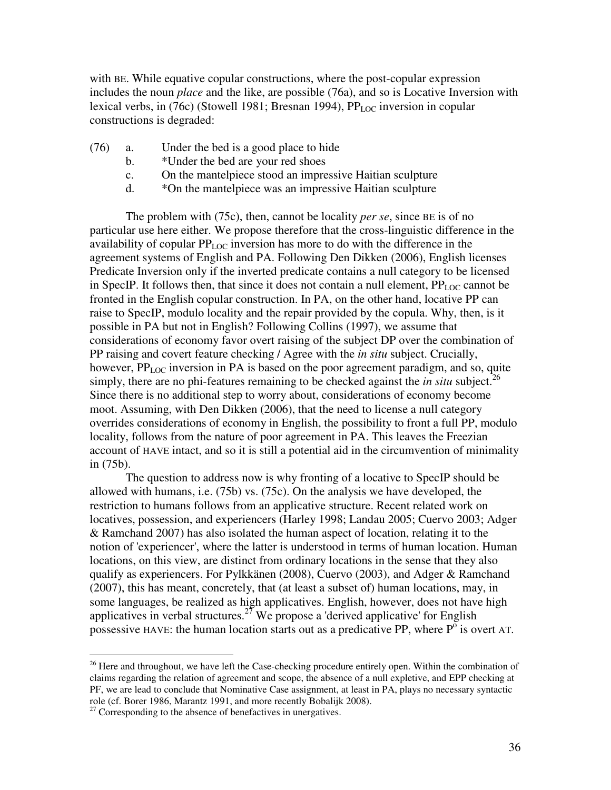with BE. While equative copular constructions, where the post-copular expression includes the noun *place* and the like, are possible (76a), and so is Locative Inversion with lexical verbs, in (76c) (Stowell 1981; Bresnan 1994),  $PP_{LOC}$  inversion in copular constructions is degraded:

- (76) a. Under the bed is a good place to hide
	- b. \*Under the bed are your red shoes
	- c. On the mantelpiece stood an impressive Haitian sculpture
	- d. \*On the mantelpiece was an impressive Haitian sculpture

 The problem with (75c), then, cannot be locality *per se*, since BE is of no particular use here either. We propose therefore that the cross-linguistic difference in the availability of copular  $PP<sub>LO</sub>$  inversion has more to do with the difference in the agreement systems of English and PA. Following Den Dikken (2006), English licenses Predicate Inversion only if the inverted predicate contains a null category to be licensed in SpecIP. It follows then, that since it does not contain a null element,  $PP_{LOC}$  cannot be fronted in the English copular construction. In PA, on the other hand, locative PP can raise to SpecIP, modulo locality and the repair provided by the copula. Why, then, is it possible in PA but not in English? Following Collins (1997), we assume that considerations of economy favor overt raising of the subject DP over the combination of PP raising and covert feature checking / Agree with the *in situ* subject. Crucially, however,  $PP_{LOC}$  inversion in PA is based on the poor agreement paradigm, and so, quite simply, there are no phi-features remaining to be checked against the *in situ* subject.<sup>26</sup> Since there is no additional step to worry about, considerations of economy become moot. Assuming, with Den Dikken (2006), that the need to license a null category overrides considerations of economy in English, the possibility to front a full PP, modulo locality, follows from the nature of poor agreement in PA. This leaves the Freezian account of HAVE intact, and so it is still a potential aid in the circumvention of minimality in (75b).

 The question to address now is why fronting of a locative to SpecIP should be allowed with humans, i.e. (75b) vs. (75c). On the analysis we have developed, the restriction to humans follows from an applicative structure. Recent related work on locatives, possession, and experiencers (Harley 1998; Landau 2005; Cuervo 2003; Adger & Ramchand 2007) has also isolated the human aspect of location, relating it to the notion of 'experiencer', where the latter is understood in terms of human location. Human locations, on this view, are distinct from ordinary locations in the sense that they also qualify as experiencers. For Pylkkänen (2008), Cuervo (2003), and Adger & Ramchand (2007), this has meant, concretely, that (at least a subset of) human locations, may, in some languages, be realized as high applicatives. English, however, does not have high applicatives in verbal structures.<sup>27</sup> We propose a 'derived applicative' for English possessive HAVE: the human location starts out as a predicative PP, where  $P^{\circ}$  is overt AT.

 $\overline{a}$ 

 $26$  Here and throughout, we have left the Case-checking procedure entirely open. Within the combination of claims regarding the relation of agreement and scope, the absence of a null expletive, and EPP checking at PF, we are lead to conclude that Nominative Case assignment, at least in PA, plays no necessary syntactic role (cf. Borer 1986, Marantz 1991, and more recently Bobalijk 2008).

 $27$  Corresponding to the absence of benefactives in unergatives.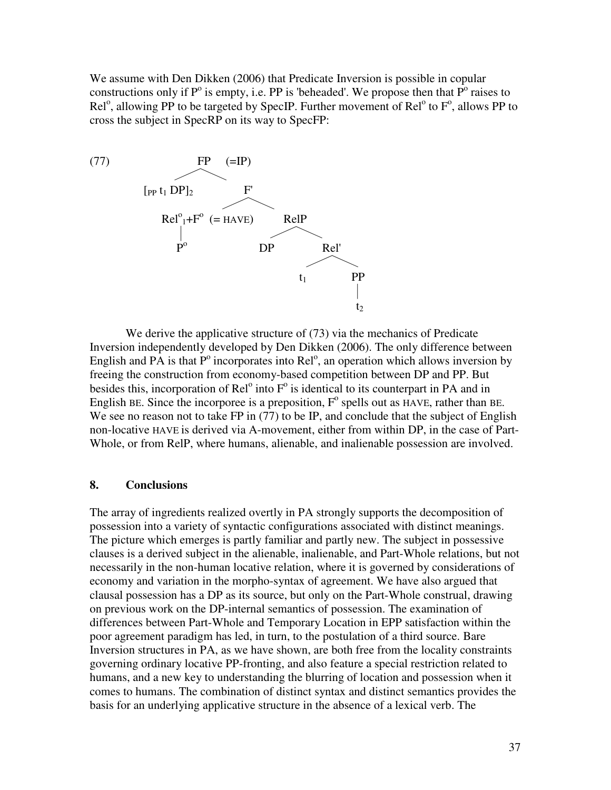We assume with Den Dikken (2006) that Predicate Inversion is possible in copular constructions only if  $P^{\circ}$  is empty, i.e. PP is 'beheaded'. We propose then that  $P^{\circ}$  raises to  $\text{Rel}^{\circ}$ , allowing PP to be targeted by SpecIP. Further movement of  $\text{Rel}^{\circ}$  to  $F^{\circ}$ , allows PP to cross the subject in SpecRP on its way to SpecFP:



We derive the applicative structure of (73) via the mechanics of Predicate Inversion independently developed by Den Dikken (2006). The only difference between English and PA is that  $P^{\circ}$  incorporates into Rel<sup>o</sup>, an operation which allows inversion by freeing the construction from economy-based competition between DP and PP. But besides this, incorporation of  $\text{Rel}^{\circ}$  into  $F^{\circ}$  is identical to its counterpart in PA and in English BE. Since the incorporee is a preposition,  $F^{\circ}$  spells out as HAVE, rather than BE. We see no reason not to take FP in (77) to be IP, and conclude that the subject of English non-locative HAVE is derived via A-movement, either from within DP, in the case of Part-Whole, or from RelP, where humans, alienable, and inalienable possession are involved.

### **8. Conclusions**

The array of ingredients realized overtly in PA strongly supports the decomposition of possession into a variety of syntactic configurations associated with distinct meanings. The picture which emerges is partly familiar and partly new. The subject in possessive clauses is a derived subject in the alienable, inalienable, and Part-Whole relations, but not necessarily in the non-human locative relation, where it is governed by considerations of economy and variation in the morpho-syntax of agreement. We have also argued that clausal possession has a DP as its source, but only on the Part-Whole construal, drawing on previous work on the DP-internal semantics of possession. The examination of differences between Part-Whole and Temporary Location in EPP satisfaction within the poor agreement paradigm has led, in turn, to the postulation of a third source. Bare Inversion structures in PA, as we have shown, are both free from the locality constraints governing ordinary locative PP-fronting, and also feature a special restriction related to humans, and a new key to understanding the blurring of location and possession when it comes to humans. The combination of distinct syntax and distinct semantics provides the basis for an underlying applicative structure in the absence of a lexical verb. The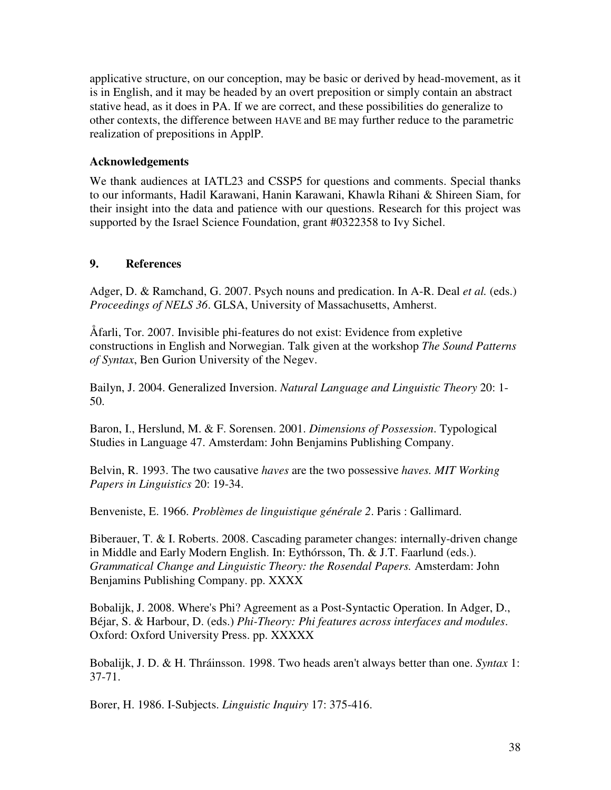applicative structure, on our conception, may be basic or derived by head-movement, as it is in English, and it may be headed by an overt preposition or simply contain an abstract stative head, as it does in PA. If we are correct, and these possibilities do generalize to other contexts, the difference between HAVE and BE may further reduce to the parametric realization of prepositions in ApplP.

## **Acknowledgements**

We thank audiences at IATL23 and CSSP5 for questions and comments. Special thanks to our informants, Hadil Karawani, Hanin Karawani, Khawla Rihani & Shireen Siam, for their insight into the data and patience with our questions. Research for this project was supported by the Israel Science Foundation, grant #0322358 to Ivy Sichel.

# **9. References**

Adger, D. & Ramchand, G. 2007. Psych nouns and predication. In A-R. Deal *et al.* (eds.) *Proceedings of NELS 36*. GLSA, University of Massachusetts, Amherst.

Åfarli, Tor. 2007. Invisible phi-features do not exist: Evidence from expletive constructions in English and Norwegian. Talk given at the workshop *The Sound Patterns of Syntax*, Ben Gurion University of the Negev.

Bailyn, J. 2004. Generalized Inversion. *Natural Language and Linguistic Theory* 20: 1- 50.

Baron, I., Herslund, M. & F. Sorensen. 2001. *Dimensions of Possession*. Typological Studies in Language 47. Amsterdam: John Benjamins Publishing Company.

Belvin, R. 1993. The two causative *haves* are the two possessive *haves. MIT Working Papers in Linguistics* 20: 19-34.

Benveniste, E. 1966. *Problèmes de linguistique générale 2*. Paris : Gallimard.

Biberauer, T. & I. Roberts. 2008. Cascading parameter changes: internally-driven change in Middle and Early Modern English. In: Eythórsson, Th. & J.T. Faarlund (eds.). *Grammatical Change and Linguistic Theory: the Rosendal Papers.* Amsterdam: John Benjamins Publishing Company. pp. XXXX

Bobalijk, J. 2008. Where's Phi? Agreement as a Post-Syntactic Operation. In Adger, D., Béjar, S. & Harbour, D. (eds.) *Phi-Theory: Phi features across interfaces and modules*. Oxford: Oxford University Press. pp. XXXXX

Bobalijk, J. D. & H. Thráinsson. 1998. Two heads aren't always better than one. *Syntax* 1: 37-71.

Borer, H. 1986. I-Subjects. *Linguistic Inquiry* 17: 375-416.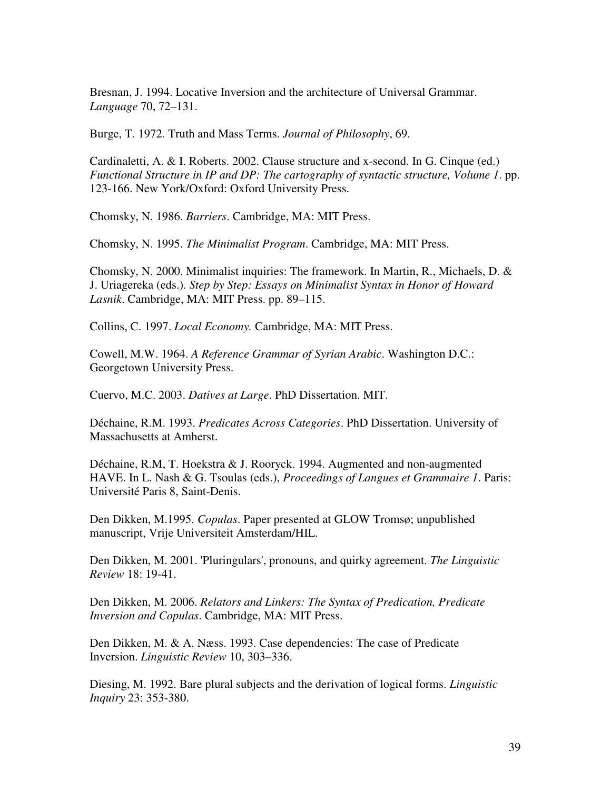Bresnan, J. 1994. Locative Inversion and the architecture of Universal Grammar. *Language* 70, 72–131.

Burge, T. 1972. Truth and Mass Terms. *Journal of Philosophy*, 69.

Cardinaletti, A. & I. Roberts. 2002. Clause structure and x-second. In G. Cinque (ed.) *Functional Structure in IP and DP: The cartography of syntactic structure, Volume 1*. pp. 123-166. New York/Oxford: Oxford University Press.

Chomsky, N. 1986. *Barriers*. Cambridge, MA: MIT Press.

Chomsky, N. 1995. *The Minimalist Program*. Cambridge, MA: MIT Press.

Chomsky, N. 2000. Minimalist inquiries: The framework. In Martin, R., Michaels, D. & J. Uriagereka (eds.). *Step by Step: Essays on Minimalist Syntax in Honor of Howard Lasnik*. Cambridge, MA: MIT Press. pp. 89–115.

Collins, C. 1997. *Local Economy.* Cambridge, MA: MIT Press.

Cowell, M.W. 1964. *A Reference Grammar of Syrian Arabic*. Washington D.C.: Georgetown University Press.

Cuervo, M.C. 2003. *Datives at Large*. PhD Dissertation. MIT.

Déchaine, R.M. 1993. *Predicates Across Categories*. PhD Dissertation. University of Massachusetts at Amherst.

Déchaine, R.M, T. Hoekstra & J. Rooryck. 1994. Augmented and non-augmented HAVE. In L. Nash & G. Tsoulas (eds.), *Proceedings of Langues et Grammaire 1*. Paris: Université Paris 8, Saint-Denis.

Den Dikken, M.1995. *Copulas*. Paper presented at GLOW Tromsø; unpublished manuscript, Vrije Universiteit Amsterdam/HIL.

Den Dikken, M. 2001. 'Pluringulars', pronouns, and quirky agreement. *The Linguistic Review* 18: 19-41.

Den Dikken, M. 2006. *Relators and Linkers: The Syntax of Predication, Predicate Inversion and Copulas*. Cambridge, MA: MIT Press.

Den Dikken, M. & A. Næss. 1993. Case dependencies: The case of Predicate Inversion. *Linguistic Review* 10, 303–336.

Diesing, M. 1992. Bare plural subjects and the derivation of logical forms. *Linguistic Inquiry* 23: 353-380.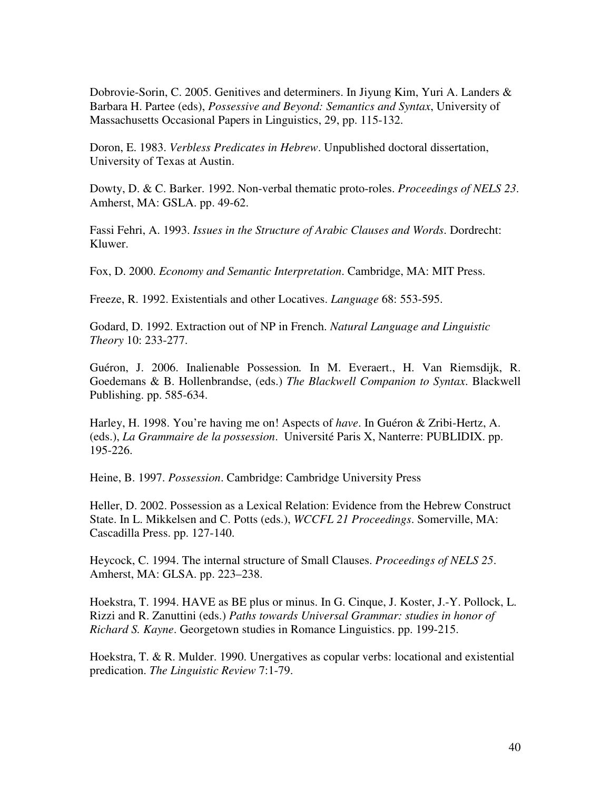Dobrovie-Sorin, C. 2005. Genitives and determiners. In Jiyung Kim, Yuri A. Landers & Barbara H. Partee (eds), *Possessive and Beyond: Semantics and Syntax*, University of Massachusetts Occasional Papers in Linguistics, 29, pp. 115-132.

Doron, E. 1983. *Verbless Predicates in Hebrew*. Unpublished doctoral dissertation, University of Texas at Austin.

Dowty, D. & C. Barker. 1992. Non-verbal thematic proto-roles. *Proceedings of NELS 23*. Amherst, MA: GSLA. pp. 49-62.

Fassi Fehri, A. 1993. *Issues in the Structure of Arabic Clauses and Words*. Dordrecht: Kluwer.

Fox, D. 2000. *Economy and Semantic Interpretation*. Cambridge, MA: MIT Press.

Freeze, R. 1992. Existentials and other Locatives. *Language* 68: 553-595.

Godard, D. 1992. Extraction out of NP in French. *Natural Language and Linguistic Theory* 10: 233-277.

Guéron, J. 2006. Inalienable Possession*.* In M. Everaert., H. Van Riemsdijk, R. Goedemans & B. Hollenbrandse, (eds.) *The Blackwell Companion to Syntax*. Blackwell Publishing. pp. 585-634.

Harley, H. 1998. You're having me on! Aspects of *have*. In Guéron & Zribi-Hertz, A. (eds.), *La Grammaire de la possession*. Université Paris X, Nanterre: PUBLIDIX. pp. 195-226.

Heine, B. 1997. *Possession*. Cambridge: Cambridge University Press

Heller, D. 2002. Possession as a Lexical Relation: Evidence from the Hebrew Construct State. In L. Mikkelsen and C. Potts (eds.), *WCCFL 21 Proceedings*. Somerville, MA: Cascadilla Press. pp. 127-140.

Heycock, C. 1994. The internal structure of Small Clauses. *Proceedings of NELS 25*. Amherst, MA: GLSA. pp. 223–238.

Hoekstra, T. 1994. HAVE as BE plus or minus. In G. Cinque, J. Koster, J.-Y. Pollock, L. Rizzi and R. Zanuttini (eds.) *Paths towards Universal Grammar: studies in honor of Richard S. Kayne*. Georgetown studies in Romance Linguistics. pp. 199-215.

Hoekstra, T. & R. Mulder. 1990. Unergatives as copular verbs: locational and existential predication. *The Linguistic Review* 7:1-79.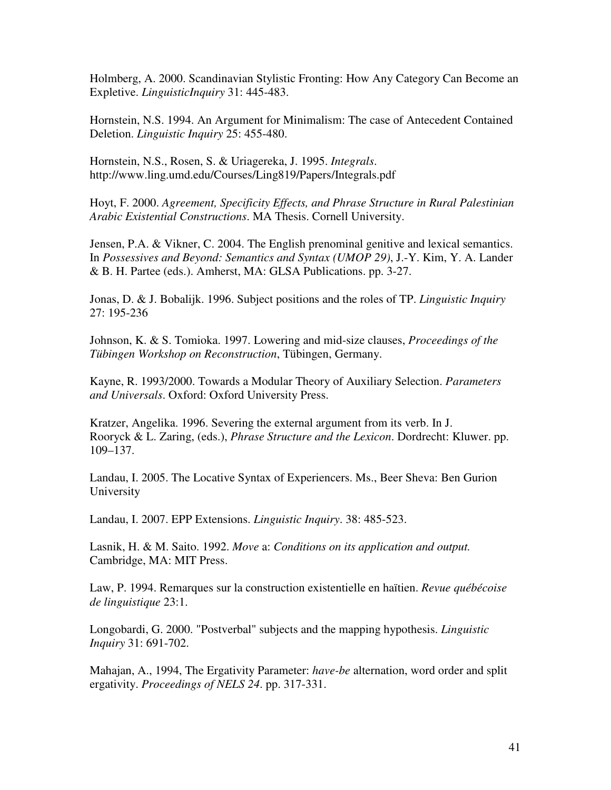Holmberg, A. 2000. Scandinavian Stylistic Fronting: How Any Category Can Become an Expletive. *LinguisticInquiry* 31: 445-483.

Hornstein, N.S. 1994. An Argument for Minimalism: The case of Antecedent Contained Deletion. *Linguistic Inquiry* 25: 455-480.

Hornstein, N.S., Rosen, S. & Uriagereka, J. 1995. *Integrals*. http://www.ling.umd.edu/Courses/Ling819/Papers/Integrals.pdf

Hoyt, F. 2000. *Agreement, Specificity Effects, and Phrase Structure in Rural Palestinian Arabic Existential Constructions*. MA Thesis. Cornell University.

Jensen, P.A. & Vikner, C. 2004. The English prenominal genitive and lexical semantics. In *Possessives and Beyond: Semantics and Syntax (UMOP 29)*, J.-Y. Kim, Y. A. Lander & B. H. Partee (eds.). Amherst, MA: GLSA Publications. pp. 3-27.

Jonas, D. & J. Bobalijk. 1996. Subject positions and the roles of TP. *Linguistic Inquiry* 27: 195-236

Johnson, K. & S. Tomioka. 1997. Lowering and mid-size clauses, *Proceedings of the Tübingen Workshop on Reconstruction*, Tübingen, Germany.

Kayne, R. 1993/2000. Towards a Modular Theory of Auxiliary Selection. *Parameters and Universals*. Oxford: Oxford University Press.

Kratzer, Angelika. 1996. Severing the external argument from its verb. In J. Rooryck & L. Zaring, (eds.), *Phrase Structure and the Lexicon*. Dordrecht: Kluwer. pp. 109–137.

Landau, I. 2005. The Locative Syntax of Experiencers. Ms., Beer Sheva: Ben Gurion University

Landau, I. 2007. EPP Extensions. *Linguistic Inquiry*. 38: 485-523.

Lasnik, H. & M. Saito. 1992. *Move* a: *Conditions on its application and output.*  Cambridge, MA: MIT Press.

Law, P. 1994. Remarques sur la construction existentielle en haïtien. *Revue québécoise de linguistique* 23:1.

Longobardi, G. 2000. "Postverbal" subjects and the mapping hypothesis. *Linguistic Inquiry* 31: 691-702.

Mahajan, A., 1994, The Ergativity Parameter: *have-be* alternation, word order and split ergativity. *Proceedings of NELS 24*. pp. 317-331.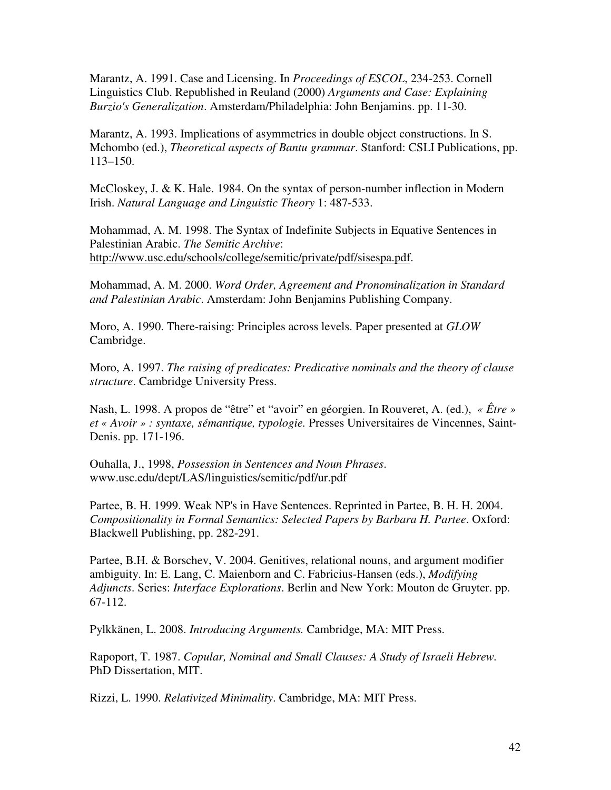Marantz, A. 1991. Case and Licensing. In *Proceedings of ESCOL*, 234-253. Cornell Linguistics Club. Republished in Reuland (2000) *Arguments and Case: Explaining Burzio's Generalization*. Amsterdam/Philadelphia: John Benjamins. pp. 11-30.

Marantz, A. 1993. Implications of asymmetries in double object constructions. In S. Mchombo (ed.), *Theoretical aspects of Bantu grammar*. Stanford: CSLI Publications, pp. 113–150.

McCloskey, J. & K. Hale. 1984. On the syntax of person-number inflection in Modern Irish. *Natural Language and Linguistic Theory* 1: 487-533.

Mohammad, A. M. 1998. The Syntax of Indefinite Subjects in Equative Sentences in Palestinian Arabic. *The Semitic Archive*: http://www.usc.edu/schools/college/semitic/private/pdf/sisespa.pdf.

Mohammad, A. M. 2000. *Word Order, Agreement and Pronominalization in Standard and Palestinian Arabic*. Amsterdam: John Benjamins Publishing Company.

Moro, A. 1990. There-raising: Principles across levels. Paper presented at *GLOW* Cambridge.

Moro, A. 1997. *The raising of predicates: Predicative nominals and the theory of clause structure*. Cambridge University Press.

Nash, L. 1998. A propos de "être" et "avoir" en géorgien. In Rouveret, A. (ed.), *« Être » et « Avoir » : syntaxe, sémantique, typologie.* Presses Universitaires de Vincennes, Saint-Denis. pp. 171-196.

Ouhalla, J., 1998, *Possession in Sentences and Noun Phrases*. www.usc.edu/dept/LAS/linguistics/semitic/pdf/ur.pdf

Partee, B. H. 1999. Weak NP's in Have Sentences. Reprinted in Partee, B. H. H. 2004. *Compositionality in Formal Semantics: Selected Papers by Barbara H. Partee*. Oxford: Blackwell Publishing, pp. 282-291.

Partee, B.H. & Borschev, V. 2004. Genitives, relational nouns, and argument modifier ambiguity. In: E. Lang, C. Maienborn and C. Fabricius-Hansen (eds.), *Modifying Adjuncts*. Series: *Interface Explorations*. Berlin and New York: Mouton de Gruyter. pp. 67-112.

Pylkkänen, L. 2008. *Introducing Arguments.* Cambridge, MA: MIT Press.

Rapoport, T. 1987. *Copular, Nominal and Small Clauses: A Study of Israeli Hebrew.*  PhD Dissertation, MIT.

Rizzi, L. 1990. *Relativized Minimality*. Cambridge, MA: MIT Press.